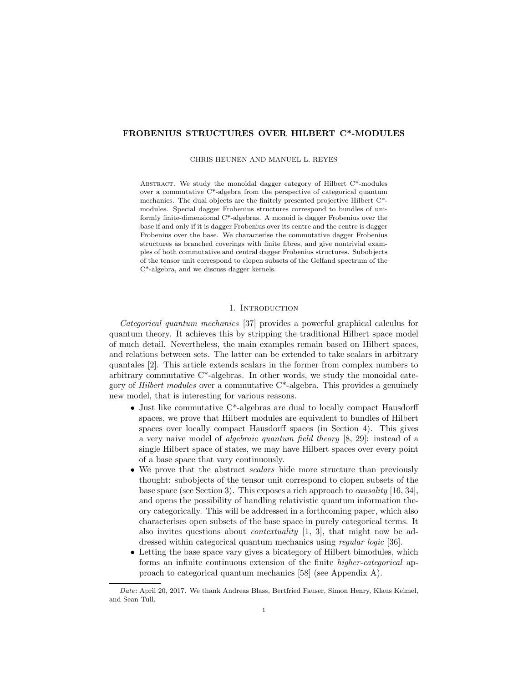## FROBENIUS STRUCTURES OVER HILBERT C\*-MODULES

CHRIS HEUNEN AND MANUEL L. REYES

ABSTRACT. We study the monoidal dagger category of Hilbert C\*-modules over a commutative C\*-algebra from the perspective of categorical quantum mechanics. The dual objects are the finitely presented projective Hilbert C\* modules. Special dagger Frobenius structures correspond to bundles of uniformly finite-dimensional C\*-algebras. A monoid is dagger Frobenius over the base if and only if it is dagger Frobenius over its centre and the centre is dagger Frobenius over the base. We characterise the commutative dagger Frobenius structures as branched coverings with finite fibres, and give nontrivial examples of both commutative and central dagger Frobenius structures. Subobjects of the tensor unit correspond to clopen subsets of the Gelfand spectrum of the C\*-algebra, and we discuss dagger kernels.

## 1. INTRODUCTION

Categorical quantum mechanics [37] provides a powerful graphical calculus for quantum theory. It achieves this by stripping the traditional Hilbert space model of much detail. Nevertheless, the main examples remain based on Hilbert spaces, and relations between sets. The latter can be extended to take scalars in arbitrary quantales [2]. This article extends scalars in the former from complex numbers to arbitrary commutative C\*-algebras. In other words, we study the monoidal category of *Hilbert modules* over a commutative  $C^*$ -algebra. This provides a genuinely new model, that is interesting for various reasons.

- Just like commutative C\*-algebras are dual to locally compact Hausdorff spaces, we prove that Hilbert modules are equivalent to bundles of Hilbert spaces over locally compact Hausdorff spaces (in Section 4). This gives a very naive model of algebraic quantum field theory [8, 29]: instead of a single Hilbert space of states, we may have Hilbert spaces over every point of a base space that vary continuously.
- We prove that the abstract scalars hide more structure than previously thought: subobjects of the tensor unit correspond to clopen subsets of the base space (see Section 3). This exposes a rich approach to *causality* [16, 34], and opens the possibility of handling relativistic quantum information theory categorically. This will be addressed in a forthcoming paper, which also characterises open subsets of the base space in purely categorical terms. It also invites questions about contextuality [1, 3], that might now be addressed within categorical quantum mechanics using *regular logic* [36].
- Letting the base space vary gives a bicategory of Hilbert bimodules, which forms an infinite continuous extension of the finite higher-categorical approach to categorical quantum mechanics [58] (see Appendix A).

Date: April 20, 2017. We thank Andreas Blass, Bertfried Fauser, Simon Henry, Klaus Keimel, and Sean Tull.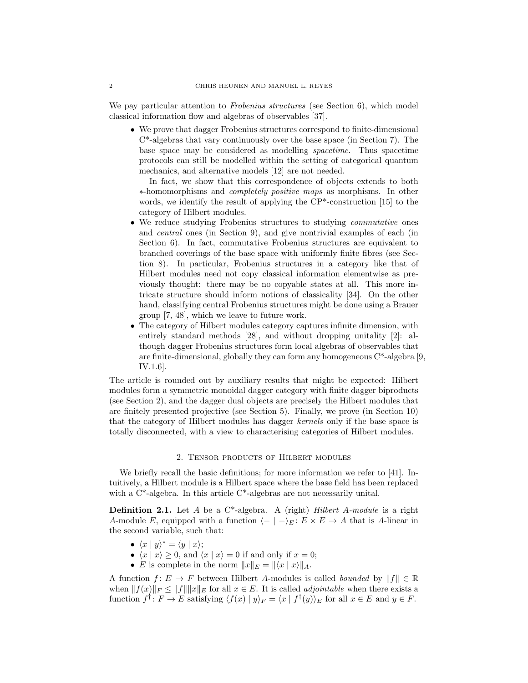We pay particular attention to *Frobenius structures* (see Section 6), which model classical information flow and algebras of observables [37].

• We prove that dagger Frobenius structures correspond to finite-dimensional C\*-algebras that vary continuously over the base space (in Section 7). The base space may be considered as modelling spacetime. Thus spacetime protocols can still be modelled within the setting of categorical quantum mechanics, and alternative models [12] are not needed.

In fact, we show that this correspondence of objects extends to both ∗-homomorphisms and completely positive maps as morphisms. In other words, we identify the result of applying the CP\*-construction [15] to the category of Hilbert modules.

- We reduce studying Frobenius structures to studying *commutative* ones and central ones (in Section 9), and give nontrivial examples of each (in Section 6). In fact, commutative Frobenius structures are equivalent to branched coverings of the base space with uniformly finite fibres (see Section 8). In particular, Frobenius structures in a category like that of Hilbert modules need not copy classical information elementwise as previously thought: there may be no copyable states at all. This more intricate structure should inform notions of classicality [34]. On the other hand, classifying central Frobenius structures might be done using a Brauer group [7, 48], which we leave to future work.
- The category of Hilbert modules category captures infinite dimension, with entirely standard methods [28], and without dropping unitality [2]: although dagger Frobenius structures form local algebras of observables that are finite-dimensional, globally they can form any homogeneous  $C^*$ -algebra [9, IV.1.6].

The article is rounded out by auxiliary results that might be expected: Hilbert modules form a symmetric monoidal dagger category with finite dagger biproducts (see Section 2), and the dagger dual objects are precisely the Hilbert modules that are finitely presented projective (see Section 5). Finally, we prove (in Section 10) that the category of Hilbert modules has dagger kernels only if the base space is totally disconnected, with a view to characterising categories of Hilbert modules.

#### 2. Tensor products of Hilbert modules

We briefly recall the basic definitions; for more information we refer to [41]. Intuitively, a Hilbert module is a Hilbert space where the base field has been replaced with a C<sup>\*</sup>-algebra. In this article C<sup>\*</sup>-algebras are not necessarily unital.

**Definition 2.1.** Let  $A$  be a  $C^*$ -algebra. A (right) Hilbert  $A$ -module is a right A-module E, equipped with a function  $\langle - | - \rangle_E : E \times E \to A$  that is A-linear in the second variable, such that:

- $\langle x | y \rangle^* = \langle y | x \rangle;$
- $\langle x | x \rangle \ge 0$ , and  $\langle x | x \rangle = 0$  if and only if  $x = 0$ ;
- E is complete in the norm  $||x||_E = ||\langle x | x \rangle||_A$ .

A function  $f: E \to F$  between Hilbert A-modules is called bounded by  $||f|| \in \mathbb{R}$ when  $||f(x)||_F \le ||f|| ||x||_E$  for all  $x \in E$ . It is called *adjointable* when there exists a function  $f^{\dagger}$ :  $F \to E$  satisfying  $\langle f(x) | y \rangle_F = \langle x | f^{\dagger}(y) \rangle_E$  for all  $x \in E$  and  $y \in F$ .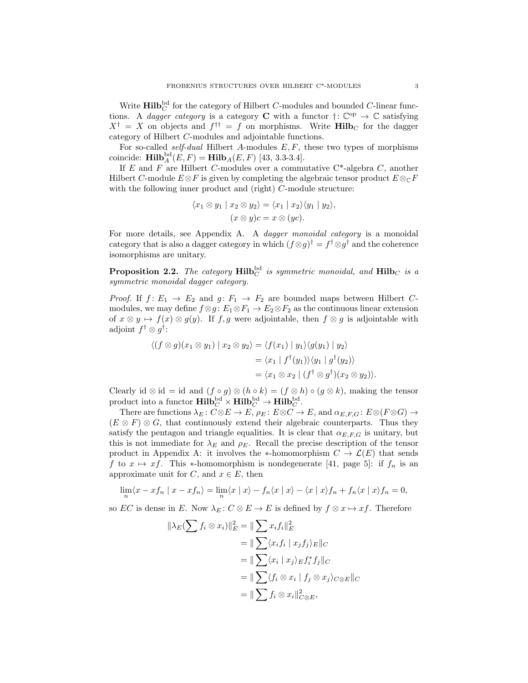Write  $\text{Hilb}^{\text{bd}}_{C}$  for the category of Hilbert C-modules and bounded C-linear functions. A *dagger category* is a category **C** with a functor  $\dagger: \mathbb{C}^{op} \to \mathbb{C}$  satisfying  $X^{\dagger} = X$  on objects and  $f^{\dagger \dagger} = f$  on morphisms. Write  $\textbf{Hilb}_C$  for the dagger category of Hilbert C-modules and adjointable functions.

For so-called *self-dual* Hilbert A-modules  $E, F$ , these two types of morphisms coincide:  $\text{Hilb}_{A}^{\text{bd}}(E, F) = \text{Hilb}_{A}(E, F)$  [43, 3.3-3.4].

If E and F are Hilbert C-modules over a commutative  $C^*$ -algebra C, another Hilbert C-module  $E \otimes F$  is given by completing the algebraic tensor product  $E \otimes_{\mathbb{C}} F$ with the following inner product and (right) C-module structure:

$$
\langle x_1 \otimes y_1 | x_2 \otimes y_2 \rangle = \langle x_1 | x_2 \rangle \langle y_1 | y_2 \rangle,
$$
  

$$
(x \otimes y)c = x \otimes (yc).
$$

For more details, see Appendix A. A *dagger monoidal category* is a monoidal category that is also a dagger category in which  $(f \otimes g)^\dagger = f^\dagger \otimes g^\dagger$  and the coherence isomorphisms are unitary.

**Proposition 2.2.** The category  $\text{Hilb}_{C}^{bd}$  is symmetric monoidal, and  $\text{Hilb}_{C}$  is a symmetric monoidal dagger category.

*Proof.* If  $f: E_1 \rightarrow E_2$  and  $g: F_1 \rightarrow F_2$  are bounded maps between Hilbert Cmodules, we may define  $f \otimes g : E_1 \otimes F_1 \to E_2 \otimes F_2$  as the continuous linear extension of  $x \otimes y \mapsto f(x) \otimes g(y)$ . If f, g were adjointable, then  $f \otimes g$  is adjointable with adjoint  $f^{\dagger} \otimes g^{\dagger}$ :

$$
\langle (f \otimes g)(x_1 \otimes y_1) | x_2 \otimes y_2 \rangle = \langle f(x_1) | y_1 \rangle \langle g(y_1) | y_2 \rangle
$$
  
=  $\langle x_1 | f^{\dagger}(y_1) \rangle \langle y_1 | g^{\dagger}(y_2) \rangle$   
=  $\langle x_1 \otimes x_2 | (f^{\dagger} \otimes g^{\dagger})(x_2 \otimes y_2) \rangle.$ 

Clearly id  $\otimes$  id = id and  $(f \circ g) \otimes (h \circ k) = (f \otimes h) \circ (g \otimes k)$ , making the tensor product into a functor  $\textbf{Hilb}^{\text{bd}}_C \times \textbf{Hilb}^{\text{bd}}_C \to \textbf{Hilb}^{\text{bd}}_C.$ 

There are functions  $\lambda_E \colon C \otimes E \to E$ ,  $\rho_E \colon E \otimes C \to E$ , and  $\alpha_{E,F,G} \colon E \otimes (F \otimes G) \to E$  $(E \otimes F) \otimes G$ , that continuously extend their algebraic counterparts. Thus they satisfy the pentagon and triangle equalities. It is clear that  $\alpha_{E,F,G}$  is unitary, but this is not immediate for  $\lambda_E$  and  $\rho_E$ . Recall the precise description of the tensor product in Appendix A: it involves the ∗-homomorphism  $C \to \mathcal{L}(E)$  that sends f to  $x \mapsto xf$ . This \*-homomorphism is nondegenerate [41, page 5]: if  $f_n$  is an approximate unit for C, and  $x \in E$ , then

$$
\lim_{n} \langle x - xf_n | x - xf_n \rangle = \lim_{n} \langle x | x \rangle - f_n \langle x | x \rangle - \langle x | x \rangle f_n + f_n \langle x | x \rangle f_n = 0,
$$

so EC is dense in E. Now  $\lambda_E : C \otimes E \to E$  is defined by  $f \otimes x \mapsto xf$ . Therefore

$$
\|\lambda_E(\sum f_i \otimes x_i)\|_E^2 = \|\sum x_i f_i\|_E^2
$$
  
=  $\|\sum \langle x_i f_i | x_j f_j \rangle_E\|_C$   
=  $\|\sum \langle x_i | x_j \rangle_E f_i^* f_j\|_C$   
=  $\|\sum \langle f_i \otimes x_i | f_j \otimes x_j \rangle_{C \otimes E}\|_C$   
=  $\|\sum f_i \otimes x_i\|_{C \otimes E}^2$ ,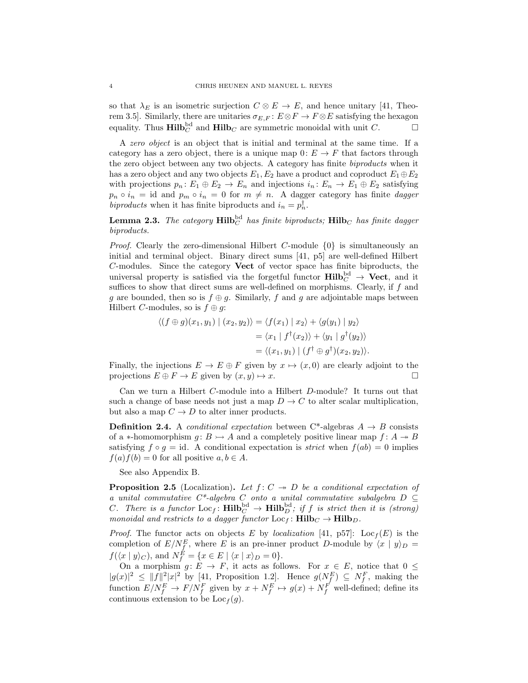so that  $\lambda_E$  is an isometric surjection  $C \otimes E \to E$ , and hence unitary [41, Theorem 3.5]. Similarly, there are unitaries  $\sigma_{E,F}: E \otimes F \to F \otimes E$  satisfying the hexagon equality. Thus  $\text{Hilb}_C^{\text{bd}}$  and  $\text{Hilb}_C$  are symmetric monoidal with unit C.

A zero object is an object that is initial and terminal at the same time. If a category has a zero object, there is a unique map  $0: E \to F$  that factors through the zero object between any two objects. A category has finite biproducts when it has a zero object and any two objects  $E_1, E_2$  have a product and coproduct  $E_1 \oplus E_2$ with projections  $p_n: E_1 \oplus E_2 \to E_n$  and injections  $i_n: E_n \to E_1 \oplus E_2$  satisfying  $p_n \circ i_n = id$  and  $p_m \circ i_n = 0$  for  $m \neq n$ . A dagger category has finite dagger biproducts when it has finite biproducts and  $i_n = p_n^{\dagger}$ .

**Lemma 2.3.** The category  $\textbf{Hilb}^{\text{bd}}_{C}$  has finite biproducts;  $\textbf{Hilb}_{C}$  has finite dagger biproducts.

*Proof.* Clearly the zero-dimensional Hilbert C-module  $\{0\}$  is simultaneously an initial and terminal object. Binary direct sums [41, p5] are well-defined Hilbert C-modules. Since the category Vect of vector space has finite biproducts, the universal property is satisfied via the forgetful functor  $\textbf{Hilb}^{\text{bd}}_{C} \rightarrow \textbf{Vect}$ , and it suffices to show that direct sums are well-defined on morphisms. Clearly, if  $f$  and g are bounded, then so is  $f \oplus g$ . Similarly, f and g are adjointable maps between Hilbert C-modules, so is  $f \oplus g$ :

$$
\langle (f \oplus g)(x_1, y_1) | (x_2, y_2) \rangle = \langle f(x_1) | x_2 \rangle + \langle g(y_1) | y_2 \rangle
$$
  
=  $\langle x_1 | f^{\dagger}(x_2) \rangle + \langle y_1 | g^{\dagger}(y_2) \rangle$   
=  $\langle (x_1, y_1) | (f^{\dagger} \oplus g^{\dagger})(x_2, y_2) \rangle.$ 

Finally, the injections  $E \to E \oplus F$  given by  $x \mapsto (x, 0)$  are clearly adjoint to the projections  $E \oplus F \to E$  given by  $(x, y) \mapsto x$ .

Can we turn a Hilbert C-module into a Hilbert D-module? It turns out that such a change of base needs not just a map  $D \to C$  to alter scalar multiplication, but also a map  $C \to D$  to alter inner products.

**Definition 2.4.** A *conditional expectation* between C<sup>\*</sup>-algebras  $A \rightarrow B$  consists of a ∗-homomorphism  $g: B \rightarrow A$  and a completely positive linear map  $f: A \rightarrow B$ satisfying  $f \circ g = id$ . A conditional expectation is *strict* when  $f(ab) = 0$  implies  $f(a)f(b) = 0$  for all positive  $a, b \in A$ .

See also Appendix B.

**Proposition 2.5** (Localization). Let  $f: C \rightarrow D$  be a conditional expectation of a unital commutative  $C^*$ -algebra  $C$  onto a unital commutative subalgebra  $D \subseteq$ C. There is a functor  $\text{Loc}_f: \text{Hilb}^{\text{bd}}_C \to \text{Hilb}^{\text{bd}}_D$ ; if f is strict then it is (strong) monoidal and restricts to a dagger functor  $Loc_f$ :  $\text{Hilb}_C \rightarrow \text{Hilb}_D$ .

*Proof.* The functor acts on objects E by *localization* [41, p57]:  $Loc_f(E)$  is the completion of  $E/N_f^E$ , where E is an pre-inner product D-module by  $\langle x | y \rangle_D =$  $f(\langle x | y \rangle_C)$ , and  $N_f^E = \{x \in E \mid \langle x | x \rangle_D = 0\}.$ 

On a morphism  $g: E \to F$ , it acts as follows. For  $x \in E$ , notice that  $0 \leq$  $|g(x)|^2 \leq ||f||^2 |x|^2$  by [41, Proposition 1.2]. Hence  $g(N_f^E) \subseteq N_f^F$ , making the function  $E/N_f^E \to F/N_f^F$  given by  $x + N_f^E \to g(x) + N_f^F$  well-defined; define its continuous extension to be  $Loc<sub>f</sub>(q)$ .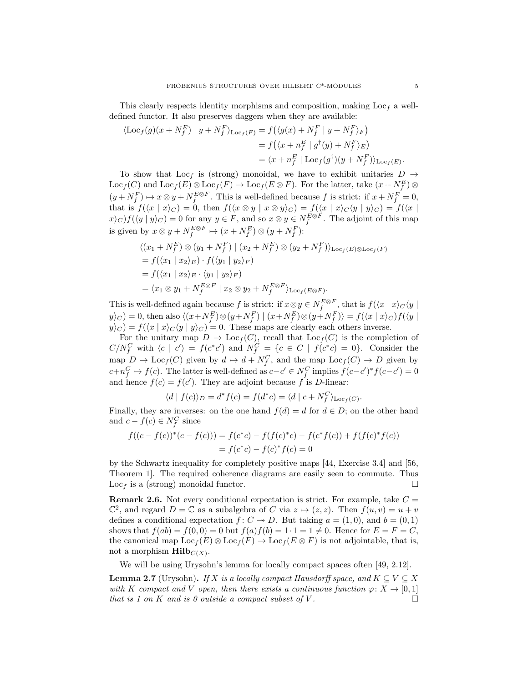This clearly respects identity morphisms and composition, making  $Loc<sub>f</sub>$  a welldefined functor. It also preserves daggers when they are available:

$$
\langle \text{Loc}_f(g)(x + N_f^E) \mid y + N_f^F \rangle_{\text{Loc}_f(F)} = f\left( \langle g(x) + N_f^F \mid y + N_f^F \rangle_F \right)
$$
  
=  $f\left( \langle x + n_f^E \mid g^\dagger(y) + N_f^F \rangle_E \right)$   
=  $\langle x + n_f^E \mid \text{Loc}_f(g^\dagger)(y + N_f^F) \rangle_{\text{Loc}_f(E)}.$ 

To show that Loc<sub>f</sub> is (strong) monoidal, we have to exhibit unitaries  $D \rightarrow$  $\text{Loc}_f(C)$  and  $\text{Loc}_f(E) \otimes \text{Loc}_f(F) \to \text{Loc}_f(E \otimes F)$ . For the latter, take  $(x + N_f^E) \otimes$  $(y + N_f^F) \mapsto x \otimes y + N_f^{E \otimes F}$ . This is well-defined because f is strict: if  $x + N_f^E = 0$ , that is  $f(\langle x | x \rangle_C) = 0$ , then  $f(\langle x \otimes y | x \otimes y \rangle_C) = f(\langle x | x \rangle_C \langle y | y \rangle_C) = f(\langle x |$  $\langle x \rangle_C$   $f(\langle y | y \rangle_C) = 0$  for any  $y \in F$ , and so  $x \otimes y \in N_f^{E \otimes F}$ . The adjoint of this map is given by  $x \otimes y + N_f^{E \otimes F} \mapsto (x + N_f^E) \otimes (y + N_f^F)$ :

$$
\langle (x_1 + N_f^E) \otimes (y_1 + N_f^F) \mid (x_2 + N_f^E) \otimes (y_2 + N_f^F) \rangle_{\text{Loc}_f(E) \otimes \text{Loc}_f(F)}
$$
  
=  $f(\langle x_1 | x_2 \rangle_E) \cdot f(\langle y_1 | y_2 \rangle_F)$   
=  $f(\langle x_1 | x_2 \rangle_E \cdot \langle y_1 | y_2 \rangle_F)$   
=  $\langle x_1 \otimes y_1 + N_f^{E \otimes F} | x_2 \otimes y_2 + N_f^{E \otimes F} \rangle_{\text{Loc}_f(E \otimes F)}.$ 

This is well-defined again because f is strict: if  $x \otimes y \in N_f^{E \otimes F}$ , that is  $f(\langle x | x \rangle_C \langle y |$  $y\rangle_C$  = 0, then also  $\langle (x+N_f^E)\otimes (y+N_f^F) \mid (x+N_f^E)\otimes (y+N_f^F)\rangle = f(\langle x\mid x\rangle_C) f(\langle y\mid x\rangle_C)$  $y|_{C}$  =  $f(\langle x | x \rangle_C \langle y | y \rangle_C) = 0$ . These maps are clearly each others inverse.

For the unitary map  $D \to \text{Loc}_f(C)$ , recall that  $\text{Loc}_f(C)$  is the completion of  $C/N_f^C$  with  $\langle c | c' \rangle = f(c^*c')$  and  $N_f^C = \{c \in C | f(c^*c) = 0\}$ . Consider the map  $D \to \text{Loc}_f(C)$  given by  $d \mapsto d + N_f^C$ , and the map  $\text{Loc}_f(C) \to D$  given by  $c+n_f^C \mapsto f(c)$ . The latter is well-defined as  $c-c' \in N_f^C$  implies  $f(c-c')^*f(c-c') = 0$ and hence  $f(c) = f(c')$ . They are adjoint because f is D-linear:

$$
\langle d \mid f(c) \rangle_D = d^* f(c) = f(d^*c) = \langle d \mid c + N_f^C \rangle_{\text{Loc}_f(C)}.
$$

Finally, they are inverses: on the one hand  $f(d) = d$  for  $d \in D$ ; on the other hand and  $c - f(c) \in N_f^C$  since

$$
f((c - f(c))^*(c - f(c))) = f(c^*c) - f(f(c)^*c) - f(c^*f(c)) + f(f(c)^*f(c))
$$
  
=  $f(c^*c) - f(c)^*f(c) = 0$ 

by the Schwartz inequality for completely positive maps [44, Exercise 3.4] and [56, Theorem 1]. The required coherence diagrams are easily seen to commute. Thus Loc<sub>f</sub> is a (strong) monoidal functor.

**Remark 2.6.** Not every conditional expectation is strict. For example, take  $C =$  $\mathbb{C}^2$ , and regard  $D = \mathbb{C}$  as a subalgebra of C via  $z \mapsto (z, z)$ . Then  $f(u, v) = u + v$ defines a conditional expectation  $f: C \rightarrow D$ . But taking  $a = (1,0)$ , and  $b = (0,1)$ shows that  $f(ab) = f(0, 0) = 0$  but  $f(a)f(b) = 1 \cdot 1 = 1 \neq 0$ . Hence for  $E = F = C$ , the canonical map  $\text{Loc}_f(E) \otimes \text{Loc}_f(F) \to \text{Loc}_f(E \otimes F)$  is not adjointable, that is, not a morphism  $\text{Hilb}_{C(X)}$ .

We will be using Urysohn's lemma for locally compact spaces often [49, 2.12].

**Lemma 2.7** (Urysohn). If X is a locally compact Hausdorff space, and  $K \subseteq V \subseteq X$ with K compact and V open, then there exists a continuous function  $\varphi: X \to [0,1]$ that is 1 on K and is 0 outside a compact subset of V.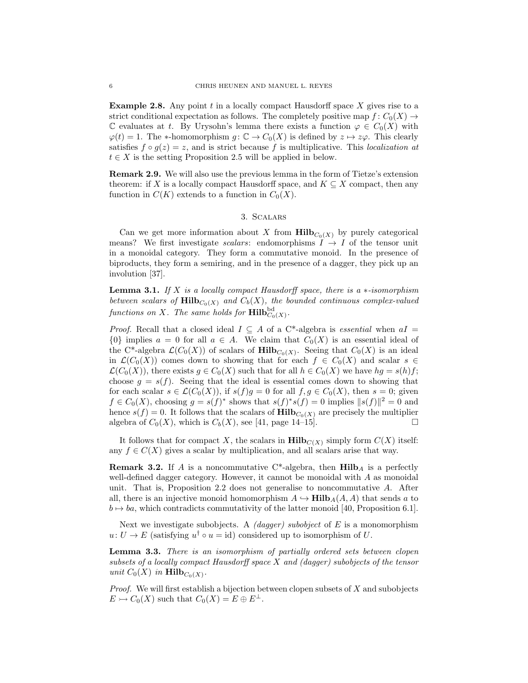**Example 2.8.** Any point  $t$  in a locally compact Hausdorff space  $X$  gives rise to a strict conditional expectation as follows. The completely positive map  $f: C_0(X) \to$ C evaluates at t. By Urysohn's lemma there exists a function  $\varphi \in C_0(X)$  with  $\varphi(t) = 1$ . The \*-homomorphism  $g: \mathbb{C} \to C_0(X)$  is defined by  $z \mapsto z\varphi$ . This clearly satisfies  $f \circ g(z) = z$ , and is strict because f is multiplicative. This localization at  $t \in X$  is the setting Proposition 2.5 will be applied in below.

Remark 2.9. We will also use the previous lemma in the form of Tietze's extension theorem: if X is a locally compact Hausdorff space, and  $K \subseteq X$  compact, then any function in  $C(K)$  extends to a function in  $C_0(X)$ .

## 3. Scalars

Can we get more information about X from  $\text{Hilb}_{C_0(X)}$  by purely categorical means? We first investigate scalars: endomorphisms  $I \rightarrow I$  of the tensor unit in a monoidal category. They form a commutative monoid. In the presence of biproducts, they form a semiring, and in the presence of a dagger, they pick up an involution [37].

**Lemma 3.1.** If X is a locally compact Hausdorff space, there is a  $*$ -isomorphism between scalars of  $\text{Hilb}_{C_0(X)}$  and  $C_b(X)$ , the bounded continuous complex-valued functions on X. The same holds for  $\mathrm{Hilb}^{\mathrm{bd}}_{C_0(X)}$ .

*Proof.* Recall that a closed ideal  $I \subseteq A$  of a C<sup>\*</sup>-algebra is *essential* when  $aI =$  ${0}$  implies  $a = 0$  for all  $a \in A$ . We claim that  $C_0(X)$  is an essential ideal of the C<sup>\*</sup>-algebra  $\mathcal{L}(C_0(X))$  of scalars of  $\text{Hilb}_{C_0(X)}$ . Seeing that  $C_0(X)$  is an ideal in  $\mathcal{L}(C_0(X))$  comes down to showing that for each  $f \in C_0(X)$  and scalar  $s \in$  $\mathcal{L}(C_0(X))$ , there exists  $g \in C_0(X)$  such that for all  $h \in C_0(X)$  we have  $hg = s(h)f$ ; choose  $g = s(f)$ . Seeing that the ideal is essential comes down to showing that for each scalar  $s \in \mathcal{L}(C_0(X))$ , if  $s(f)g = 0$  for all  $f, g \in C_0(X)$ , then  $s = 0$ ; given  $f \in C_0(X)$ , choosing  $g = s(f)^*$  shows that  $s(f)^*s(f) = 0$  implies  $||s(f)||^2 = 0$  and hence  $s(f) = 0$ . It follows that the scalars of  $\text{Hilb}_{C_0(X)}$  are precisely the multiplier algebra of  $C_0(X)$ , which is  $C_b(X)$ , see [41, page 14–15]. algebra of  $C_0(X)$ , which is  $C_b(X)$ , see [41, page 14–15].

It follows that for compact X, the scalars in  $\text{Hilb}_{C(X)}$  simply form  $C(X)$  itself: any  $f \in C(X)$  gives a scalar by multiplication, and all scalars arise that way.

**Remark 3.2.** If A is a noncommutative C\*-algebra, then  $\textbf{Hilb}_A$  is a perfectly well-defined dagger category. However, it cannot be monoidal with A as monoidal unit. That is, Proposition 2.2 does not generalise to noncommutative A. After all, there is an injective monoid homomorphism  $A \hookrightarrow \textbf{Hilb}_A(A, A)$  that sends a to  $b \mapsto ba$ , which contradicts commutativity of the latter monoid [40, Proposition 6.1].

Next we investigate subobjects. A *(dagger) subobject* of  $E$  is a monomorphism  $u: U \to E$  (satisfying  $u^{\dagger} \circ u = id$ ) considered up to isomorphism of U.

Lemma 3.3. There is an isomorphism of partially ordered sets between clopen subsets of a locally compact Hausdorff space X and (dagger) subobjects of the tensor unit  $C_0(X)$  in  $\text{Hilb}_{C_0(X)}$ .

*Proof.* We will first establish a bijection between clopen subsets of  $X$  and subobjects  $E \rightarrowtail C_0(X)$  such that  $C_0(X) = E \oplus E^{\perp}$ .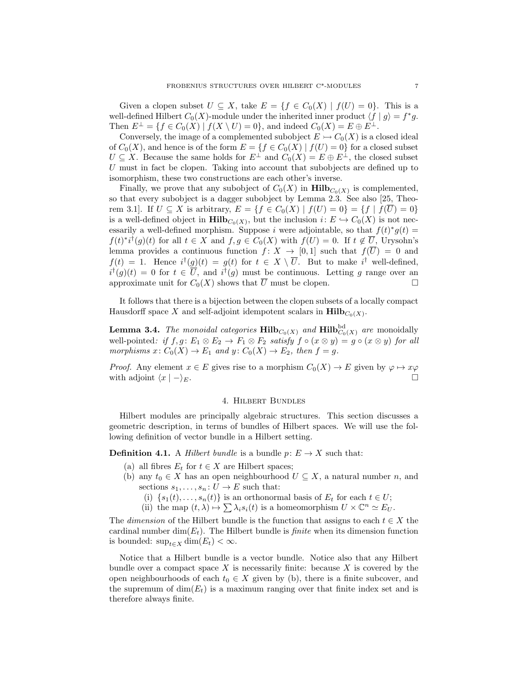Given a clopen subset  $U \subseteq X$ , take  $E = \{f \in C_0(X) \mid f(U) = 0\}$ . This is a well-defined Hilbert  $C_0(X)$ -module under the inherited inner product  $\langle f | g \rangle = f^* g$ . Then  $E^{\perp} = \{f \in C_0(X) \mid f(X \setminus U) = 0\}$ , and indeed  $C_0(X) = E \oplus E^{\perp}$ .

Conversely, the image of a complemented subobject  $E \rightarrowtail C_0(X)$  is a closed ideal of  $C_0(X)$ , and hence is of the form  $E = \{f \in C_0(X) \mid f(U) = 0\}$  for a closed subset  $U \subseteq X$ . Because the same holds for  $E^{\perp}$  and  $C_0(X) = E \oplus E^{\perp}$ , the closed subset U must in fact be clopen. Taking into account that subobjects are defined up to isomorphism, these two constructions are each other's inverse.

Finally, we prove that any subobject of  $C_0(X)$  in  $\text{Hilb}_{C_0(X)}$  is complemented, so that every subobject is a dagger subobject by Lemma 2.3. See also [25, Theorem 3.1]. If  $U \subseteq X$  is arbitrary,  $E = \{f \in C_0(X) \mid f(U) = 0\} = \{f \mid f(\overline{U}) = 0\}$ is a well-defined object in  $\text{Hilb}_{C_0(X)}$ , but the inclusion  $i: E \hookrightarrow C_0(X)$  is not necessarily a well-defined morphism. Suppose *i* were adjointable, so that  $f(t)^*g(t) =$  $f(t)^*i^{\dagger}(g)(t)$  for all  $t \in X$  and  $f, g \in C_0(X)$  with  $f(U) = 0$ . If  $t \notin \overline{U}$ , Urysohn's lemma provides a continuous function  $f: X \to [0,1]$  such that  $f(\overline{U}) = 0$  and  $f(t) = 1$ . Hence  $i^{\dagger}(g)(t) = g(t)$  for  $t \in X \setminus \overline{U}$ . But to make  $i^{\dagger}$  well-defined,  $i^{\dagger}(g)(t) = 0$  for  $t \in \overline{U}$ , and  $i^{\dagger}(g)$  must be continuous. Letting g range over an approximate unit for  $C_0(X)$  shows that  $\overline{U}$  must be clopen.

It follows that there is a bijection between the clopen subsets of a locally compact Hausdorff space X and self-adjoint idempotent scalars in  $\text{Hilb}_{C_0(X)}$ .

**Lemma 3.4.** The monoidal categories  $\text{Hilb}_{C_0(X)}$  and  $\text{Hilb}_{C_0(X)}^{bd}$  are monoidally well-pointed: if  $f, g \colon E_1 \otimes E_2 \to F_1 \otimes F_2$  satisfy  $f \circ (x \otimes y) = g \circ (x \otimes y)$  for all morphisms  $x: C_0(X) \to E_1$  and  $y: C_0(X) \to E_2$ , then  $f = g$ .

*Proof.* Any element  $x \in E$  gives rise to a morphism  $C_0(X) \to E$  given by  $\varphi \mapsto x\varphi$ with adjoint  $\langle x | - \rangle_E$ .

#### 4. Hilbert Bundles

Hilbert modules are principally algebraic structures. This section discusses a geometric description, in terms of bundles of Hilbert spaces. We will use the following definition of vector bundle in a Hilbert setting.

**Definition 4.1.** A *Hilbert bundle* is a bundle  $p: E \to X$  such that:

- (a) all fibres  $E_t$  for  $t \in X$  are Hilbert spaces;
- (b) any  $t_0 \in X$  has an open neighbourhood  $U \subseteq X$ , a natural number n, and sections  $s_1, \ldots, s_n : U \to E$  such that:
	- (i)  $\{s_1(t), \ldots, s_n(t)\}\$ is an orthonormal basis of  $E_t$  for each  $t \in U$ ;
	- (ii) the map  $(t, \lambda) \mapsto \sum \lambda_i s_i(t)$  is a homeomorphism  $U \times \mathbb{C}^n \simeq E_U$ .

The dimension of the Hilbert bundle is the function that assigns to each  $t \in X$  the cardinal number dim( $E_t$ ). The Hilbert bundle is *finite* when its dimension function is bounded:  $\sup_{t\in X} \dim(E_t) < \infty$ .

Notice that a Hilbert bundle is a vector bundle. Notice also that any Hilbert bundle over a compact space  $X$  is necessarily finite: because  $X$  is covered by the open neighbourhoods of each  $t_0 \in X$  given by (b), there is a finite subcover, and the supremum of  $\dim(E_t)$  is a maximum ranging over that finite index set and is therefore always finite.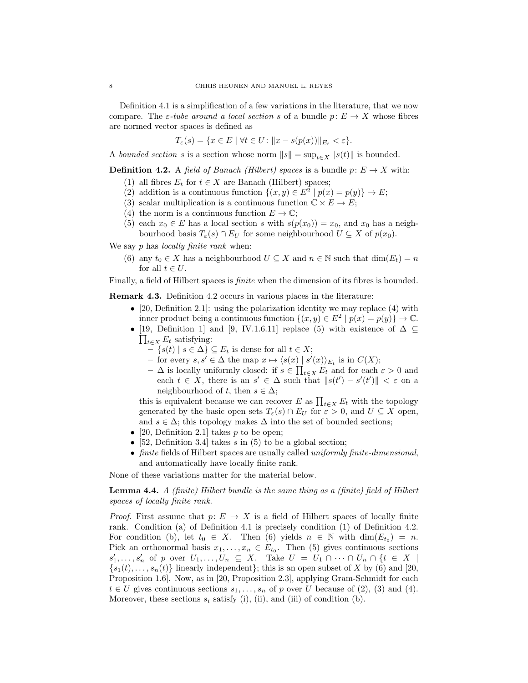Definition 4.1 is a simplification of a few variations in the literature, that we now compare. The  $\varepsilon$ -tube around a local section s of a bundle  $p: E \to X$  whose fibres are normed vector spaces is defined as

$$
T_{\varepsilon}(s) = \{ x \in E \mid \forall t \in U : \|x - s(p(x))\|_{E_t} < \varepsilon \}.
$$

A bounded section s is a section whose norm  $||s|| = \sup_{t \in X} ||s(t)||$  is bounded.

**Definition 4.2.** A field of Banach (Hilbert) spaces is a bundle  $p: E \to X$  with:

- (1) all fibres  $E_t$  for  $t \in X$  are Banach (Hilbert) spaces;
- (2) addition is a continuous function  $\{(x, y) \in E^2 \mid p(x) = p(y)\} \to E;$
- (3) scalar multiplication is a continuous function  $\mathbb{C} \times E \to E$ ;
- (4) the norm is a continuous function  $E \to \mathbb{C}$ ;
- (5) each  $x_0 \in E$  has a local section s with  $s(p(x_0)) = x_0$ , and  $x_0$  has a neighbourhood basis  $T_{\varepsilon}(s) \cap E_U$  for some neighbourhood  $U \subseteq X$  of  $p(x_0)$ .

We say  $p$  has *locally finite rank* when:

(6) any  $t_0 \in X$  has a neighbourhood  $U \subseteq X$  and  $n \in \mathbb{N}$  such that  $\dim(E_t) = n$ for all  $t \in U$ .

Finally, a field of Hilbert spaces is finite when the dimension of its fibres is bounded.

Remark 4.3. Definition 4.2 occurs in various places in the literature:

- [20, Definition 2.1]: using the polarization identity we may replace  $(4)$  with inner product being a continuous function  $\{(x, y) \in E^2 \mid p(x) = p(y)\}\to \mathbb{C}$ .
- [19, Definition 1] and [9, IV.1.6.11] replace (5) with existence of  $\Delta \subseteq$  $\prod_{t\in X} E_t$  satisfying:
	- $\{s(t) \mid s \in \Delta\} \subseteq E_t$  is dense for all  $t \in X$ ;
	- for every  $s, s' \in \Delta$  the map  $x \mapsto \langle s(x) | s'(x) \rangle_{E_t}$  is in  $C(X)$ ;
	- $-$  Δ is locally uniformly closed: if  $s \in \prod_{t \in X} E_t$  and for each  $\varepsilon > 0$  and each  $t \in X$ , there is an  $s' \in \Delta$  such that  $||s(t') - s'(t')|| < \varepsilon$  on a neighbourhood of t, then  $s \in \Delta$ ;

this is equivalent because we can recover E as  $\prod_{t \in X} E_t$  with the topology generated by the basic open sets  $T_{\varepsilon}(s) \cap E_U$  for  $\varepsilon > 0$ , and  $U \subseteq X$  open, and  $s \in \Delta$ ; this topology makes  $\Delta$  into the set of bounded sections;

- [20, Definition 2.1] takes  $p$  to be open;
- [52, Definition 3.4] takes s in  $(5)$  to be a global section;
- finite fields of Hilbert spaces are usually called *uniformly finite-dimensional*, and automatically have locally finite rank.

None of these variations matter for the material below.

Lemma 4.4. A (finite) Hilbert bundle is the same thing as a (finite) field of Hilbert spaces of locally finite rank.

*Proof.* First assume that  $p: E \to X$  is a field of Hilbert spaces of locally finite rank. Condition (a) of Definition 4.1 is precisely condition (1) of Definition 4.2. For condition (b), let  $t_0 \in X$ . Then (6) yields  $n \in \mathbb{N}$  with  $\dim(E_{t_0}) = n$ . Pick an orthonormal basis  $x_1, \ldots, x_n \in E_{t_0}$ . Then (5) gives continuous sections  $s'_1, \ldots, s'_n$  of p over  $U_1, \ldots, U_n \subseteq X$ . Take  $U = U_1 \cap \cdots \cap U_n \cap \{t \in X \mid$  ${s_1(t), \ldots, s_n(t)}$  linearly independent); this is an open subset of X by (6) and [20, Proposition 1.6]. Now, as in [20, Proposition 2.3], applying Gram-Schmidt for each  $t \in U$  gives continuous sections  $s_1, \ldots, s_n$  of p over U because of (2), (3) and (4). Moreover, these sections  $s_i$  satisfy (i), (ii), and (iii) of condition (b).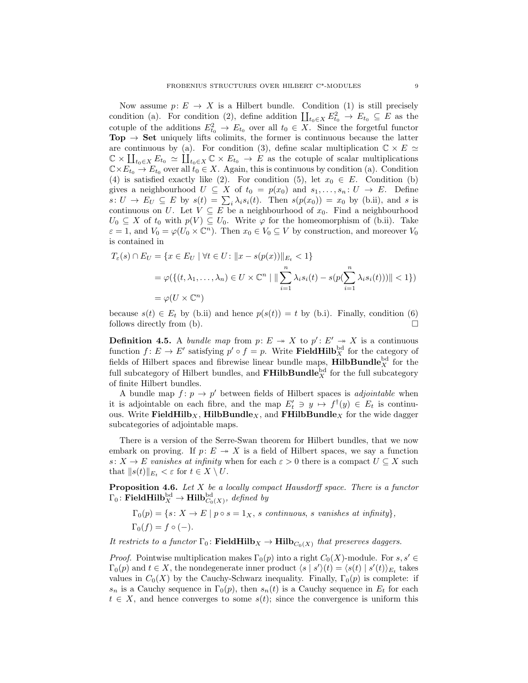Now assume  $p: E \to X$  is a Hilbert bundle. Condition (1) is still precisely condition (a). For condition (2), define addition  $\coprod_{t_0 \in X} E^2_{t_0} \to E_{t_0} \subseteq E$  as the cotuple of the additions  $E_{t_0}^2 \to E_{t_0}$  over all  $t_0 \in X$ . Since the forgetful functor  $\text{Top} \rightarrow \text{Set}$  uniquely lifts colimits, the former is continuous because the latter are continuous by (a). For condition (3), define scalar multiplication  $\mathbb{C} \times E \simeq$  $\mathbb{C} \times \coprod_{t_0 \in X} E_{t_0} \simeq \coprod_{t_0 \in X} \mathbb{C} \times E_{t_0} \to E$  as the cotuple of scalar multiplications  $\mathbb{C}\times E_{t_0}\to E_{t_0}$  over all  $t_0\in X$ . Again, this is continuous by condition (a). Condition (4) is satisfied exactly like (2). For condition (5), let  $x_0 \in E$ . Condition (b) gives a neighbourhood  $U \subseteq X$  of  $t_0 = p(x_0)$  and  $s_1, \ldots, s_n : U \to E$ . Define  $s: U \to E_U \subseteq E$  by  $s(t) = \sum_i \lambda_i s_i(t)$ . Then  $s(p(x_0)) = x_0$  by (b.ii), and s is continuous on U. Let  $V \subseteq E$  be a neighbourhood of  $x_0$ . Find a neighbourhood  $U_0 \subseteq X$  of  $t_0$  with  $p(V) \subseteq U_0$ . Write  $\varphi$  for the homeomorphism of (b.ii). Take  $\varepsilon = 1$ , and  $V_0 = \varphi(U_0 \times \mathbb{C}^n)$ . Then  $x_0 \in V_0 \subseteq V$  by construction, and moreover  $V_0$ is contained in

$$
T_{\varepsilon}(s) \cap E_U = \{x \in E_U \mid \forall t \in U : ||x - s(p(x))||_{E_t} < 1\}
$$
\n
$$
= \varphi(\{(t, \lambda_1, \dots, \lambda_n) \in U \times \mathbb{C}^n \mid ||\sum_{i=1}^n \lambda_i s_i(t) - s(p(\sum_{i=1}^n \lambda_i s_i(t)))|| < 1\})
$$
\n
$$
= \varphi(U \times \mathbb{C}^n)
$$

because  $s(t) \in E_t$  by (b.ii) and hence  $p(s(t)) = t$  by (b.i). Finally, condition (6) follows directly from (b).  $\Box$ 

**Definition 4.5.** A bundle map from  $p: E \rightarrow X$  to  $p': E' \rightarrow X$  is a continuous function  $f: E \to E'$  satisfying  $p' \circ f = p$ . Write **FieldHilb**<sub>X</sub><sup>bd</sup> for the category of fields of Hilbert spaces and fibrewise linear bundle maps,  $\textbf{HilbBundle}^{\text{bd}}_{X}$  for the full subcategory of Hilbert bundles, and  $\mathbf{FHilbBundle}^{\mathrm{bd}}_{X}$  for the full subcategory of finite Hilbert bundles.

A bundle map  $f: p \to p'$  between fields of Hilbert spaces is *adjointable* when it is adjointable on each fibre, and the map  $E'_t \ni y \mapsto f^{\dagger}(y) \in E_t$  is continuous. Write FieldHilb<sub>X</sub>, HilbBundle<sub>X</sub>, and FHilbBundle<sub>X</sub> for the wide dagger subcategories of adjointable maps.

There is a version of the Serre-Swan theorem for Hilbert bundles, that we now embark on proving. If  $p: E \rightarrow X$  is a field of Hilbert spaces, we say a function s:  $X \to E$  vanishes at infinity when for each  $\varepsilon > 0$  there is a compact  $U \subseteq X$  such that  $||s(t)||_{E_t} < \varepsilon$  for  $t \in X \setminus U$ .

**Proposition 4.6.** Let X be a locally compact Hausdorff space. There is a functor  $\Gamma_0\colon \mathbf{FieldHilb}^{\mathrm{bd}}_X\to \mathbf{Hilb}^{\mathrm{bd}}_{C_0(X)}, \textit{ defined by}$ 

 $\Gamma_0(p) = \{s \colon X \to E \mid p \circ s = 1_X, s \text{ continuous}, s \text{ vanishes at infinity}\},\$  $\Gamma_0(f) = f \circ (-).$ 

It restricts to a functor  $\Gamma_0$ : **FieldHilb**<sub>X</sub>  $\rightarrow$  **Hilb**<sub>C<sub>0</sub>(X)</sub> that preserves daggers.

*Proof.* Pointwise multiplication makes  $\Gamma_0(p)$  into a right  $C_0(X)$ -module. For  $s, s' \in$  $\Gamma_0(p)$  and  $t \in X$ , the nondegenerate inner product  $\langle s | s' \rangle(t) = \langle s(t) | s'(t) \rangle_{E_t}$  takes values in  $C_0(X)$  by the Cauchy-Schwarz inequality. Finally,  $\Gamma_0(p)$  is complete: if  $s_n$  is a Cauchy sequence in  $\Gamma_0(p)$ , then  $s_n(t)$  is a Cauchy sequence in  $E_t$  for each  $t \in X$ , and hence converges to some  $s(t)$ ; since the convergence is uniform this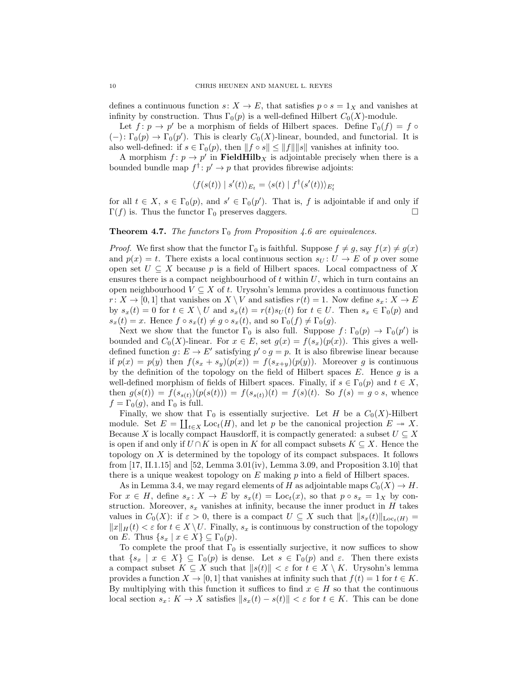defines a continuous function  $s: X \to E$ , that satisfies  $p \circ s = 1_X$  and vanishes at infinity by construction. Thus  $\Gamma_0(p)$  is a well-defined Hilbert  $C_0(X)$ -module.

Let  $f: p \to p'$  be a morphism of fields of Hilbert spaces. Define  $\Gamma_0(f) = f \circ$  $(-): \Gamma_0(p) \to \Gamma_0(p')$ . This is clearly  $C_0(X)$ -linear, bounded, and functorial. It is also well-defined: if  $s \in \Gamma_0(p)$ , then  $||f \circ s|| \le ||f|| ||s||$  vanishes at infinity too.

A morphism  $f: p \to p'$  in **FieldHilb**<sub>X</sub> is adjointable precisely when there is a bounded bundle map  $f^{\dagger}$ :  $p' \rightarrow p$  that provides fibrewise adjoints:

$$
\langle f(s(t)) | s'(t) \rangle_{E_t} = \langle s(t) | f^{\dagger}(s'(t)) \rangle_{E'_t}
$$

for all  $t \in X$ ,  $s \in \Gamma_0(p)$ , and  $s' \in \Gamma_0(p')$ . That is, f is adjointable if and only if  $\Gamma(f)$  is. Thus the functor  $\Gamma_0$  preserves daggers.

# **Theorem 4.7.** The functors  $\Gamma_0$  from Proposition 4.6 are equivalences.

*Proof.* We first show that the functor  $\Gamma_0$  is faithful. Suppose  $f \neq g$ , say  $f(x) \neq g(x)$ and  $p(x) = t$ . There exists a local continuous section  $s_U : U \to E$  of p over some open set  $U \subseteq X$  because p is a field of Hilbert spaces. Local compactness of X ensures there is a compact neighbourhood of  $t$  within  $U$ , which in turn contains an open neighbourhood  $V \subseteq X$  of t. Urysohn's lemma provides a continuous function  $r: X \to [0,1]$  that vanishes on  $X \setminus V$  and satisfies  $r(t) = 1$ . Now define  $s_x: X \to E$ by  $s_x(t) = 0$  for  $t \in X \setminus U$  and  $s_x(t) = r(t)s_U(t)$  for  $t \in U$ . Then  $s_x \in \Gamma_0(p)$  and  $s_x(t) = x$ . Hence  $f \circ s_x(t) \neq g \circ s_x(t)$ , and so  $\Gamma_0(f) \neq \Gamma_0(g)$ .

Next we show that the functor  $\Gamma_0$  is also full. Suppose  $f: \Gamma_0(p) \to \Gamma_0(p')$  is bounded and  $C_0(X)$ -linear. For  $x \in E$ , set  $g(x) = f(s_x)(p(x))$ . This gives a welldefined function  $g: E \to E'$  satisfying  $p' \circ g = p$ . It is also fibrewise linear because if  $p(x) = p(y)$  then  $f(s_x + s_y)(p(x)) = f(s_{x+y})(p(y))$ . Moreover g is continuous by the definition of the topology on the field of Hilbert spaces  $E$ . Hence  $g$  is a well-defined morphism of fields of Hilbert spaces. Finally, if  $s \in \Gamma_0(p)$  and  $t \in X$ , then  $g(s(t)) = f(s_{s(t)})(p(s(t))) = f(s_{s(t)})(t) = f(s)(t)$ . So  $f(s) = g \circ s$ , whence  $f = \Gamma_0(g)$ , and  $\Gamma_0$  is full.

Finally, we show that  $\Gamma_0$  is essentially surjective. Let H be a  $C_0(X)$ -Hilbert module. Set  $E = \coprod_{t \in X} \text{Loc}_{t}(H)$ , and let p be the canonical projection  $E \to X$ . Because X is locally compact Hausdorff, it is compactly generated: a subset  $U \subseteq X$ is open if and only if  $U \cap K$  is open in K for all compact subsets  $K \subseteq X$ . Hence the topology on  $X$  is determined by the topology of its compact subspaces. It follows from  $[17, 11.1.15]$  and  $[52, Lemma 3.01(iv), Lemma 3.09, and Proposition 3.10]$  that there is a unique weakest topology on  $E$  making  $p$  into a field of Hilbert spaces.

As in Lemma 3.4, we may regard elements of H as adjointable maps  $C_0(X) \to H$ . For  $x \in H$ , define  $s_x \colon X \to E$  by  $s_x(t) = \text{Loc}_t(x)$ , so that  $p \circ s_x = 1_X$  by construction. Moreover,  $s_x$  vanishes at infinity, because the inner product in  $H$  takes values in  $C_0(X)$ : if  $\varepsilon > 0$ , there is a compact  $U \subseteq X$  such that  $||s_x(t)||_{\text{Loc}_t(H)} =$  $||x||_H(t) < \varepsilon$  for  $t \in X \setminus U$ . Finally,  $s_x$  is continuous by construction of the topology on E. Thus  $\{s_x \mid x \in X\} \subseteq \Gamma_0(p)$ .

To complete the proof that  $\Gamma_0$  is essentially surjective, it now suffices to show that  $\{s_x \mid x \in X\} \subseteq \Gamma_0(p)$  is dense. Let  $s \in \Gamma_0(p)$  and  $\varepsilon$ . Then there exists a compact subset  $K \subseteq X$  such that  $||s(t)|| < \varepsilon$  for  $t \in X \setminus K$ . Urysohn's lemma provides a function  $X \to [0, 1]$  that vanishes at infinity such that  $f(t) = 1$  for  $t \in K$ . By multiplying with this function it suffices to find  $x \in H$  so that the continuous local section  $s_x: K \to X$  satisfies  $||s_x(t) - s(t)|| < \varepsilon$  for  $t \in K$ . This can be done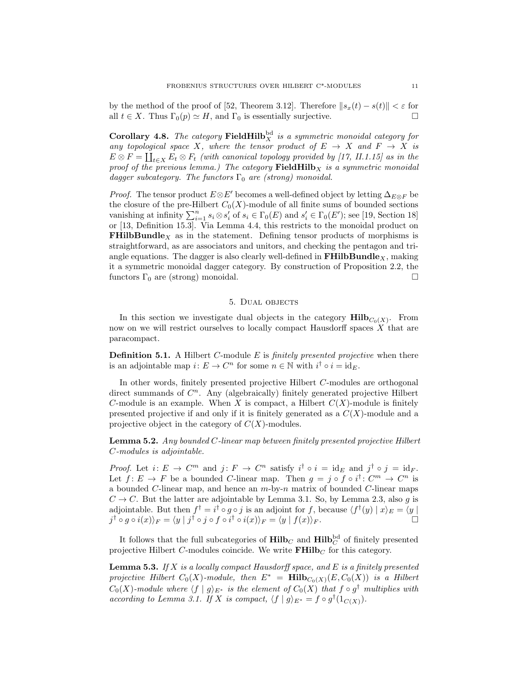by the method of the proof of [52, Theorem 3.12]. Therefore  $||s_x(t) - s(t)|| < \varepsilon$  for all  $t \in X$ . Thus  $\Gamma_0(p) \simeq H$ , and  $\Gamma_0$  is essentially surjective.

**Corollary 4.8.** The category FieldHilb<sup>bd</sup> is a symmetric monoidal category for any topological space X, where the tensor product of  $E \rightarrow X$  and  $F \rightarrow X$  is  $E \otimes F = \coprod_{t \in X} E_t \otimes F_t$  (with canonical topology provided by [17, II.1.15] as in the proof of the previous lemma.) The category  $\mathbf{FieldHilb}_X$  is a symmetric monoidal dagger subcategory. The functors  $\Gamma_0$  are (strong) monoidal.

*Proof.* The tensor product  $E \otimes E'$  becomes a well-defined object by letting  $\Delta_{E \otimes F}$  be the closure of the pre-Hilbert  $C_0(X)$ -module of all finite sums of bounded sections vanishing at infinity  $\sum_{i=1}^n s_i \otimes s'_i$  of  $s_i \in \Gamma_0(E)$  and  $s'_i \in \Gamma_0(E')$ ; see [19, Section 18] or [13, Definition 15.3]. Via Lemma 4.4, this restricts to the monoidal product on **FHilbBundle** $_X$  as in the statement. Defining tensor products of morphisms is straightforward, as are associators and unitors, and checking the pentagon and triangle equations. The dagger is also clearly well-defined in  $\mathbf{FHilbBundle}_{X}$ , making it a symmetric monoidal dagger category. By construction of Proposition 2.2, the functors  $\Gamma_0$  are (strong) monoidal.

## 5. Dual objects

In this section we investigate dual objects in the category  $\text{Hilb}_{C_0(X)}$ . From now on we will restrict ourselves to locally compact Hausdorff spaces  $X$  that are paracompact.

**Definition 5.1.** A Hilbert C-module  $E$  is *finitely presented projective* when there is an adjointable map  $i: E \to C^n$  for some  $n \in \mathbb{N}$  with  $i^{\dagger} \circ i = id_E$ .

In other words, finitely presented projective Hilbert C-modules are orthogonal direct summands of  $C<sup>n</sup>$ . Any (algebraically) finitely generated projective Hilbert C-module is an example. When X is compact, a Hilbert  $C(X)$ -module is finitely presented projective if and only if it is finitely generated as a  $C(X)$ -module and a projective object in the category of  $C(X)$ -modules.

**Lemma 5.2.** Any bounded C-linear map between finitely presented projective Hilbert C-modules is adjointable.

*Proof.* Let  $i: E \to C^m$  and  $j: F \to C^n$  satisfy  $i^{\dagger} \circ i = id_E$  and  $j^{\dagger} \circ j = id_F$ . Let  $f: E \to F$  be a bounded C-linear map. Then  $g = j \circ f \circ i^{\dagger}: C^m \to C^n$  is a bounded C-linear map, and hence an  $m$ -by- $n$  matrix of bounded C-linear maps  $C \rightarrow C$ . But the latter are adjointable by Lemma 3.1. So, by Lemma 2.3, also g is adjointable. But then  $f^{\dagger} = i^{\dagger} \circ g \circ j$  is an adjoint for f, because  $\langle f^{\dagger}(y) | x \rangle_E = \langle y |$  $j^{\dagger} \circ g \circ i(x) \rangle_F = \langle y \mid j^{\dagger} \circ j \circ f \circ i^{\dagger} \circ i(x) \rangle_F = \langle y \mid f(x) \rangle_F.$ 

It follows that the full subcategories of  $\text{Hilb}_C$  and  $\text{Hilb}_C^{\text{bd}}$  of finitely presented projective Hilbert C-modules coincide. We write  $\mathbf{FHilb}_C$  for this category.

**Lemma 5.3.** If X is a locally compact Hausdorff space, and E is a finitely presented projective Hilbert  $C_0(X)$ -module, then  $E^*$  =  $\text{Hilb}_{C_0(X)}(E, C_0(X))$  is a Hilbert  $C_0(X)$ -module where  $\langle f | g \rangle_{E^*}$  is the element of  $C_0(X)$  that  $f \circ g^{\dagger}$  multiplies with according to Lemma 3.1. If X is compact,  $\langle f | g \rangle_{E^*} = f \circ g^{\dagger}(1_{C(X)})$ .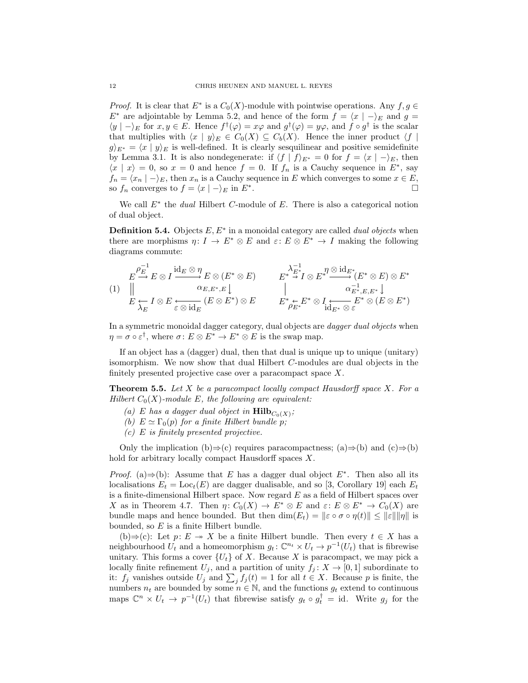*Proof.* It is clear that  $E^*$  is a  $C_0(X)$ -module with pointwise operations. Any  $f, g \in$  $E^*$  are adjointable by Lemma 5.2, and hence of the form  $f = \langle x | -\rangle_E$  and  $g =$  $\langle y | - \rangle_E$  for  $x, y \in E$ . Hence  $f^{\dagger}(\varphi) = x\varphi$  and  $g^{\dagger}(\varphi) = y\varphi$ , and  $f \circ g^{\dagger}$  is the scalar that multiplies with  $\langle x | y \rangle_E \in C_0(X) \subseteq C_b(X)$ . Hence the inner product  $\langle f |$  $g \nvert_{E^*} = \langle x \mid y \rangle_E$  is well-defined. It is clearly sesquilinear and positive semidefinite by Lemma 3.1. It is also nondegenerate: if  $\langle f | f \rangle_{E^*} = 0$  for  $f = \langle x | - \rangle_E$ , then  $\langle x | x \rangle = 0$ , so  $x = 0$  and hence  $f = 0$ . If  $f_n$  is a Cauchy sequence in  $E^*$ , say  $f_n = \langle x_n | -\rangle_E$ , then  $x_n$  is a Cauchy sequence in E which converges to some  $x \in E$ , so  $f_n$  converges to  $f = \langle x | - \rangle_E$  in  $E^*$ . . В последните последните последните последните последните последните последните последните последните последн<br>В последните последните последните последните последните последните последните последните последните последнит

We call  $E^*$  the *dual* Hilbert C-module of  $E$ . There is also a categorical notion of dual object.

**Definition 5.4.** Objects  $E, E^*$  in a monoidal category are called *dual objects* when there are morphisms  $\eta: I \to E^* \otimes E$  and  $\varepsilon: E \otimes E^* \to I$  making the following diagrams commute:

(1) E E ⊗ I E ⊗ (E<sup>∗</sup> ⊗ E) (E ⊗ E<sup>∗</sup> E I ⊗ E ) ⊗ E ρ −1 <sup>E</sup> id<sup>E</sup> ⊗ η αE,E∗,E λ<sup>E</sup> ε ⊗ id<sup>E</sup> E<sup>∗</sup> I ⊗ E<sup>∗</sup> (E<sup>∗</sup> ⊗ E) ⊗ E<sup>∗</sup> E<sup>∗</sup> ⊗ (E ⊗ E<sup>∗</sup> E ) E <sup>∗</sup> ⊗ I ∗ λ −1 <sup>E</sup><sup>∗</sup> η ⊗ idE<sup>∗</sup> α −1 E∗,E,E<sup>∗</sup> idE<sup>∗</sup> ⊗ ε ρE<sup>∗</sup>

In a symmetric monoidal dagger category, dual objects are dagger dual objects when  $\eta = \sigma \circ \varepsilon^{\dagger}$ , where  $\sigma \colon E \otimes E^* \to E^* \otimes E$  is the swap map.

If an object has a (dagger) dual, then that dual is unique up to unique (unitary) isomorphism. We now show that dual Hilbert C-modules are dual objects in the finitely presented projective case over a paracompact space X.

**Theorem 5.5.** Let X be a paracompact locally compact Hausdorff space X. For a Hilbert  $C_0(X)$ -module E, the following are equivalent:

- (a) E has a dagger dual object in  $\text{Hilb}_{C_0(X)}$ ;
- (b)  $E \simeq \Gamma_0(p)$  for a finite Hilbert bundle p;
- $(c)$  E is finitely presented projective.

Only the implication (b)⇒(c) requires paracompactness; (a)⇒(b) and (c)⇒(b) hold for arbitrary locally compact Hausdorff spaces X.

*Proof.* (a)⇒(b): Assume that E has a dagger dual object  $E^*$ . Then also all its localisations  $E_t = \text{Loc}_t(E)$  are dagger dualisable, and so [3, Corollary 19] each  $E_t$ is a finite-dimensional Hilbert space. Now regard  $E$  as a field of Hilbert spaces over X as in Theorem 4.7. Then  $\eta: C_0(X) \to E^* \otimes E$  and  $\varepsilon: E \otimes E^* \to C_0(X)$  are bundle maps and hence bounded. But then  $\dim(E_t) = ||\varepsilon \circ \sigma \circ \eta(t)|| \leq ||\varepsilon|| ||\eta||$  is bounded, so  $E$  is a finite Hilbert bundle.

(b)⇒(c): Let  $p: E \to X$  be a finite Hilbert bundle. Then every  $t \in X$  has a neighbourhood  $U_t$  and a homeomorphism  $g_t: \mathbb{C}^{n_t} \times U_t \to p^{-1}(U_t)$  that is fibrewise unitary. This forms a cover  ${U<sub>t</sub>}$  of X. Because X is paracompact, we may pick a locally finite refinement  $U_j$ , and a partition of unity  $f_j : X \to [0,1]$  subordinate to it:  $f_j$  vanishes outside  $U_j$  and  $\sum_j f_j(t) = 1$  for all  $t \in X$ . Because p is finite, the numbers  $n_t$  are bounded by some  $n \in \mathbb{N}$ , and the functions  $g_t$  extend to continuous maps  $\mathbb{C}^n \times U_t \to p^{-1}(U_t)$  that fibrewise satisfy  $g_t \circ g_t^{\dagger} = id$ . Write  $g_j$  for the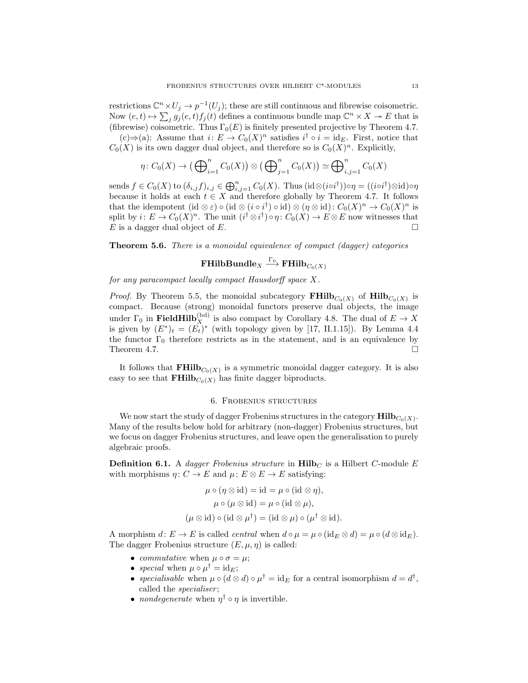restrictions  $\mathbb{C}^n \times U_j \to p^{-1}(U_j)$ ; these are still continuous and fibrewise coisometric. Now  $(e, t) \mapsto \sum_j g_j(e, t) f_j(t)$  defines a continuous bundle map  $\mathbb{C}^n \times X \to E$  that is (fibrewise) coisometric. Thus  $\Gamma_0(E)$  is finitely presented projective by Theorem 4.7.

(c)⇒(a): Assume that  $i: E \to C_0(X)^n$  satisfies  $i^{\dagger} \circ i = id_E$ . First, notice that  $C_0(X)$  is its own dagger dual object, and therefore so is  $C_0(X)^n$ . Explicitly,

$$
\eta\colon C_0(X)\to\big(\bigoplus_{i=1}^n C_0(X)\big)\otimes\big(\bigoplus_{j=1}^n C_0(X)\big)\simeq\bigoplus_{i,j=1}^n C_0(X)
$$

sends  $f \in C_0(X)$  to  $(\delta_{i,j} f)_{i,j} \in \bigoplus_{i,j=1}^n C_0(X)$ . Thus  $(\text{id}\otimes(\text{id})\circ\eta = ((\text{id})\otimes\text{id})\circ\eta$ because it holds at each  $t \in X$  and therefore globally by Theorem 4.7. It follows that the idempotent  $(id \otimes \varepsilon) \circ (id \otimes (i \circ i^{\dagger}) \circ id) \otimes (\eta \otimes id) : C_0(X)^n \to C_0(X)^n$  is split by  $i: E \to C_0(X)^n$ . The unit  $(i^{\dagger} \otimes i^{\dagger}) \circ \eta: C_0(X) \to E \otimes E$  now witnesses that  $E$  is a dagger dual object of  $E$ .

**Theorem 5.6.** There is a monoidal equivalence of compact (dagger) categories

# $\mathbf{FHilbBundle}_X \overset{\Gamma_0}{\longrightarrow} \mathbf{FHilb}_{C_0(X)}$

for any paracompact locally compact Hausdorff space X.

*Proof.* By Theorem 5.5, the monoidal subcategory  $\mathbf{FHilb}_{C_0(X)}$  of  $\mathbf{Hilb}_{C_0(X)}$  is compact. Because (strong) monoidal functors preserve dual objects, the image under  $\Gamma_0$  in **FieldHilb**<sup>(bd)</sup> is also compact by Corollary 4.8. The dual of  $E \to X$ is given by  $(E^*)_t = (E_t^{\dagger})^*$  (with topology given by [17, II.1.15]). By Lemma 4.4 the functor  $\Gamma_0$  therefore restricts as in the statement, and is an equivalence by Theorem 4.7.  $\Box$ 

It follows that  $\mathbf{FHilb}_{C_0(X)}$  is a symmetric monoidal dagger category. It is also easy to see that  $\mathbf{FHilb}_{C_0(X)}$  has finite dagger biproducts.

#### 6. Frobenius structures

We now start the study of dagger Frobenius structures in the category  $\text{Hilb}_{C_0(X)}$ . Many of the results below hold for arbitrary (non-dagger) Frobenius structures, but we focus on dagger Frobenius structures, and leave open the generalisation to purely algebraic proofs.

**Definition 6.1.** A dagger Frobenius structure in  $\text{Hilb}_C$  is a Hilbert C-module E with morphisms  $\eta: C \to E$  and  $\mu: E \otimes E \to E$  satisfying:

$$
\mu \circ (\eta \otimes id) = id = \mu \circ (id \otimes \eta),
$$

$$
\mu \circ (\mu \otimes id) = \mu \circ (id \otimes \mu),
$$

$$
(\mu \otimes id) \circ (id \otimes \mu^{\dagger}) = (id \otimes \mu) \circ (\mu^{\dagger} \otimes id).
$$

A morphism  $d: E \to E$  is called *central* when  $d \circ \mu = \mu \circ (\text{id}_E \otimes d) = \mu \circ (d \otimes \text{id}_E)$ . The dagger Frobenius structure  $(E, \mu, \eta)$  is called:

- commutative when  $\mu \circ \sigma = \mu$ ;
- special when  $\mu \circ \mu^{\dagger} = id_E;$
- specialisable when  $\mu \circ (d \otimes d) \circ \mu^{\dagger} = id_E$  for a central isomorphism  $d = d^{\dagger}$ , called the *specialiser*;
- *nondegenerate* when  $\eta^{\dagger} \circ \eta$  is invertible.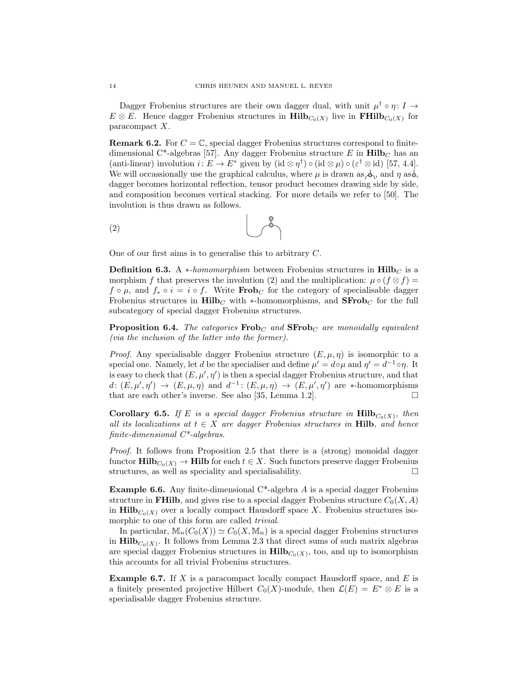Dagger Frobenius structures are their own dagger dual, with unit  $\mu^{\dagger} \circ \eta \colon I \to$  $E \otimes E$ . Hence dagger Frobenius structures in  $\text{Hilb}_{C_0(X)}$  live in  $\text{FHilb}_{C_0(X)}$  for paracompact X.

**Remark 6.2.** For  $C = \mathbb{C}$ , special dagger Frobenius structures correspond to finitedimensional C<sup>\*</sup>-algebras [57]. Any dagger Frobenius structure E in  $\text{Hilb}_C$  has an (anti-linear) involution  $i: E \to E^*$  given by  $(\mathrm{id} \otimes \eta^{\dagger}) \circ (\mathrm{id} \otimes \mu) \circ (\varepsilon^{\dagger} \otimes \mathrm{id})$  [57, 4.4]. We will occassionally use the graphical calculus, where  $\mu$  is drawn as  $\phi_1$ , and  $\eta$  as  $\phi$ , dagger becomes horizontal reflection, tensor product becomes drawing side by side, and composition becomes vertical stacking. For more details we refer to [50]. The involution is thus drawn as follows.

$$
\begin{array}{c}\n\text{(2)} \\
\end{array}
$$

One of our first aims is to generalise this to arbitrary C.

**Definition 6.3.** A *∗-homomorphism* between Frobenius structures in  $\text{Hilb}_C$  is a morphism f that preserves the involution (2) and the multiplication:  $\mu \circ (f \otimes f) =$  $f \circ \mu$ , and  $f_* \circ i = i \circ f$ . Write **Frob**<sub>C</sub> for the category of specialisable dagger Frobenius structures in  $\text{Hilb}_C$  with \*-homomorphisms, and  $\text{SFrob}_C$  for the full subcategory of special dagger Frobenius structures.

**Proposition 6.4.** The categories  $\textbf{Frob}_C$  and  $\textbf{SFrob}_C$  are monoidally equivalent (via the inclusion of the latter into the former).

*Proof.* Any specialisable dagger Frobenius structure  $(E, \mu, \eta)$  is isomorphic to a special one. Namely, let d be the specialiser and define  $\mu' = d \circ \mu$  and  $\eta' = d^{-1} \circ \eta$ . It is easy to check that  $(E, \mu', \eta')$  is then a special dagger Frobenius structure, and that d:  $(E, \mu', \eta') \rightarrow (E, \mu, \eta)$  and  $d^{-1}$ :  $(E, \mu, \eta) \rightarrow (E, \mu', \eta')$  are \*-homomorphisms that are each other's inverse. See also [35, Lemma 1.2].  $\Box$ 

**Corollary 6.5.** If E is a special dagger Frobenius structure in  $\text{Hilb}_{C_0(X)}$ , then all its localizations at  $t \in X$  are dagger Frobenius structures in **Hilb**, and hence finite-dimensional  $C^*$ -algebras.

Proof. It follows from Proposition 2.5 that there is a (strong) monoidal dagger functor  $\text{Hilb}_{C_0(X)} \to \text{Hilb}$  for each  $t \in X$ . Such functors preserve dagger Frobenius structures, as well as speciality and specialisability.  $\Box$ 

**Example 6.6.** Any finite-dimensional  $C^*$ -algebra A is a special dagger Frobenius structure in **FHilb**, and gives rise to a special dagger Frobenius structure  $C_0(X, A)$ in  $\text{Hilb}_{C_0(X)}$  over a locally compact Hausdorff space X. Frobenius structures isomorphic to one of this form are called *trivial*.

In particular,  $\mathbb{M}_n(C_0(X)) \simeq C_0(X, \mathbb{M}_n)$  is a special dagger Frobenius structures in  $\text{Hilb}_{C_0(X)}$ . It follows from Lemma 2.3 that direct sums of such matrix algebras are special dagger Frobenius structures in  $\text{Hilb}_{C_0(X)}$ , too, and up to isomorphism this accounts for all trivial Frobenius structures.

**Example 6.7.** If  $X$  is a paracompact locally compact Hausdorff space, and  $E$  is a finitely presented projective Hilbert  $C_0(X)$ -module, then  $\mathcal{L}(E) = E^* \otimes E$  is a specialisable dagger Frobenius structure.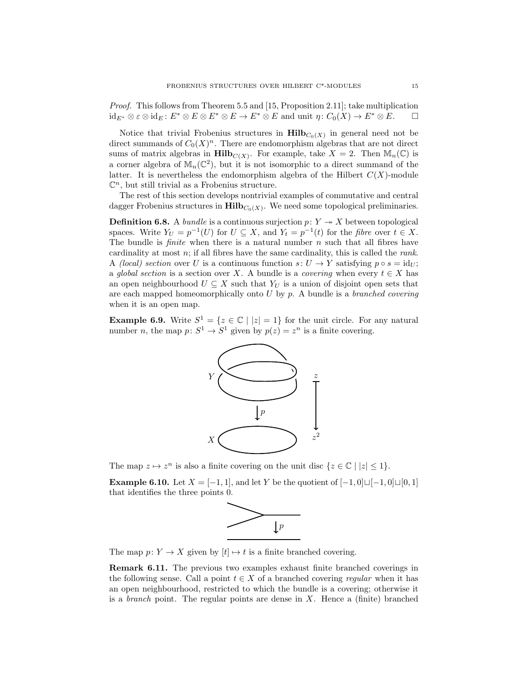Proof. This follows from Theorem 5.5 and [15, Proposition 2.11]; take multiplication  $id_{E^*} \otimes \varepsilon \otimes id_E : E^* \otimes E \otimes E^* \otimes E \to E^* \otimes E$  and unit  $\eta : C_0(X) \to E^* \otimes E$ .  $\Box$ 

Notice that trivial Frobenius structures in  $\text{Hilb}_{C_0(X)}$  in general need not be direct summands of  $C_0(X)^n$ . There are endomorphism algebras that are not direct sums of matrix algebras in  $\text{Hilb}_{C(X)}$ . For example, take  $X = 2$ . Then  $\mathbb{M}_n(\mathbb{C})$  is a corner algebra of  $\mathbb{M}_n(\mathbb{C}^2)$ , but it is not isomorphic to a direct summand of the latter. It is nevertheless the endomorphism algebra of the Hilbert  $C(X)$ -module  $\mathbb{C}^n$ , but still trivial as a Frobenius structure.

The rest of this section develops nontrivial examples of commutative and central dagger Frobenius structures in  $\mathbf{Hilb}_{C_0(X)}$ . We need some topological preliminaries.

**Definition 6.8.** A *bundle* is a continuous surjection  $p: Y \rightarrow X$  between topological spaces. Write  $Y_U = p^{-1}(U)$  for  $U \subseteq X$ , and  $Y_t = p^{-1}(t)$  for the *fibre* over  $t \in X$ . The bundle is *finite* when there is a natural number  $n$  such that all fibres have cardinality at most  $n$ ; if all fibres have the same cardinality, this is called the *rank*. A (local) section over U is a continuous function  $s: U \to Y$  satisfying  $p \circ s = id_{U}$ ; a global section is a section over X. A bundle is a covering when every  $t \in X$  has an open neighbourhood  $U \subseteq X$  such that  $Y_U$  is a union of disjoint open sets that are each mapped homeomorphically onto  $U$  by  $p$ . A bundle is a *branched covering* when it is an open map.

**Example 6.9.** Write  $S^1 = \{z \in \mathbb{C} \mid |z| = 1\}$  for the unit circle. For any natural number *n*, the map  $p: S^1 \to S^1$  given by  $p(z) = z^n$  is a finite covering.



The map  $z \mapsto z^n$  is also a finite covering on the unit disc  $\{z \in \mathbb{C} \mid |z| \leq 1\}.$ 

**Example 6.10.** Let  $X = [-1, 1]$ , and let Y be the quotient of  $[-1, 0] \sqcup [-1, 0] \sqcup [0, 1]$ that identifies the three points 0.



The map  $p: Y \to X$  given by  $[t] \mapsto t$  is a finite branched covering.

Remark 6.11. The previous two examples exhaust finite branched coverings in the following sense. Call a point  $t \in X$  of a branched covering regular when it has an open neighbourhood, restricted to which the bundle is a covering; otherwise it is a *branch* point. The regular points are dense in  $X$ . Hence a (finite) branched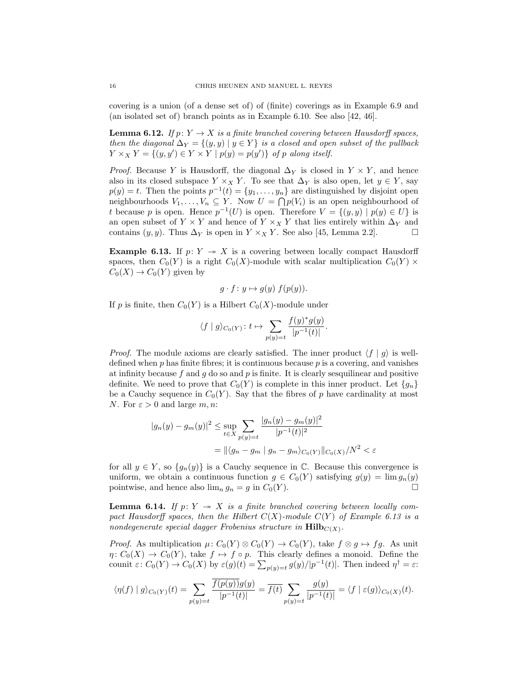covering is a union (of a dense set of) of (finite) coverings as in Example 6.9 and (an isolated set of) branch points as in Example 6.10. See also [42, 46].

**Lemma 6.12.** If  $p: Y \to X$  is a finite branched covering between Hausdorff spaces, then the diagonal  $\Delta_Y = \{(y, y) | y \in Y\}$  is a closed and open subset of the pullback  $Y \times_X Y = \{(y, y') \in Y \times Y \mid p(y) = p(y')\}$  of p along itself.

*Proof.* Because Y is Hausdorff, the diagonal  $\Delta_Y$  is closed in  $Y \times Y$ , and hence also in its closed subspace  $Y \times_X Y$ . To see that  $\Delta_Y$  is also open, let  $y \in Y$ , say  $p(y) = t$ . Then the points  $p^{-1}(t) = \{y_1, \ldots, y_n\}$  are distinguished by disjoint open neighbourhoods  $V_1, \ldots, V_n \subseteq Y$ . Now  $U = \bigcap p(V_i)$  is an open neighbourhood of t because p is open. Hence  $p^{-1}(U)$  is open. Therefore  $V = \{(y, y) | p(y) \in U\}$  is an open subset of  $Y \times Y$  and hence of  $Y \times_X Y$  that lies entirely within  $\Delta_Y$  and contains  $(y, y)$ . Thus  $\Delta_Y$  is open in  $Y \times_X Y$ . See also [45, Lemma 2.2].

**Example 6.13.** If  $p: Y \rightarrow X$  is a covering between locally compact Hausdorff spaces, then  $C_0(Y)$  is a right  $C_0(X)$ -module with scalar multiplication  $C_0(Y)$  ×  $C_0(X) \to C_0(Y)$  given by

$$
g \cdot f \colon y \mapsto g(y) \ f(p(y)).
$$

If p is finite, then  $C_0(Y)$  is a Hilbert  $C_0(X)$ -module under

$$
\langle f\mid g\rangle_{C_0(Y)}\colon t\mapsto \sum_{p(y)=t}\frac{f(y)^*g(y)}{|p^{-1}(t)|}.
$$

*Proof.* The module axioms are clearly satisfied. The inner product  $\langle f | g \rangle$  is welldefined when  $p$  has finite fibres; it is continuous because  $p$  is a covering, and vanishes at infinity because  $f$  and  $g$  do so and  $p$  is finite. It is clearly sesquilinear and positive definite. We need to prove that  $C_0(Y)$  is complete in this inner product. Let  $\{g_n\}$ be a Cauchy sequence in  $C_0(Y)$ . Say that the fibres of p have cardinality at most N. For  $\varepsilon > 0$  and large m, n:

$$
|g_n(y) - g_m(y)|^2 \le \sup_{t \in X} \sum_{p(y)=t} \frac{|g_n(y) - g_m(y)|^2}{|p^{-1}(t)|^2}
$$
  
=  $\| \langle g_n - g_m | g_n - g_m \rangle_{C_0(Y)} \|_{C_0(X)}/N^2 < \varepsilon$ 

for all  $y \in Y$ , so  $\{g_n(y)\}\$ is a Cauchy sequence in  $\mathbb{C}$ . Because this convergence is uniform, we obtain a continuous function  $g \in C_0(Y)$  satisfying  $g(y) = \lim g_n(y)$ pointwise, and hence also  $\lim_{n} g_n = g$  in  $C_0(Y)$ .

**Lemma 6.14.** If  $p: Y \rightarrow X$  is a finite branched covering between locally compact Hausdorff spaces, then the Hilbert  $C(X)$ -module  $C(Y)$  of Example 6.13 is a nondegenerate special dagger Frobenius structure in  $\text{Hilb}_{C(X)}$ .

*Proof.* As multiplication  $\mu: C_0(Y) \otimes C_0(Y) \to C_0(Y)$ , take  $f \otimes g \mapsto fg$ . As unit  $\eta: C_0(X) \to C_0(Y)$ , take  $f \mapsto f \circ p$ . This clearly defines a monoid. Define the counit  $\varepsilon\colon C_0(Y)\to C_0(X)$  by  $\varepsilon(g)(t)=\sum_{p(y)=t}g(y)/|p^{-1}(t)|$ . Then indeed  $\eta^{\dagger}=\varepsilon$ :

$$
\langle \eta(f) | g \rangle_{C_0(Y)}(t) = \sum_{p(y)=t} \frac{\overline{f(p(y))} g(y)}{|p^{-1}(t)|} = \overline{f(t)} \sum_{p(y)=t} \frac{g(y)}{|p^{-1}(t)|} = \langle f | \varepsilon(g) \rangle_{C_0(X)}(t).
$$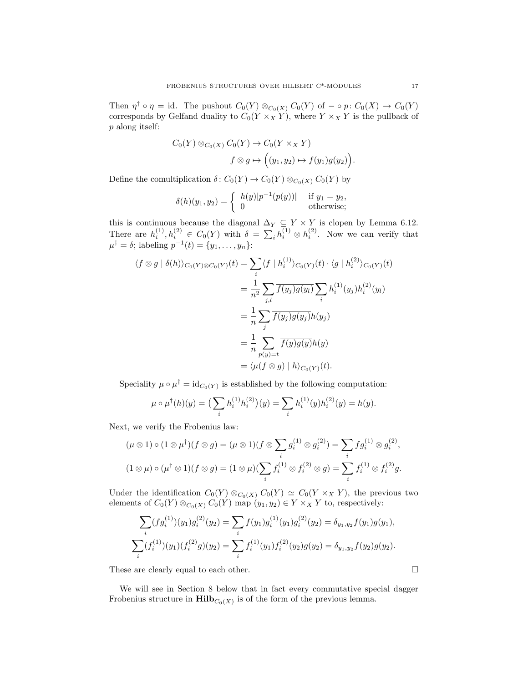Then  $\eta^{\dagger} \circ \eta = id$ . The pushout  $C_0(Y) \otimes_{C_0(X)} C_0(Y)$  of  $-\circ p: C_0(X) \to C_0(Y)$ corresponds by Gelfand duality to  $C_0(Y \times_X Y)$ , where  $Y \times_X Y$  is the pullback of p along itself:

$$
C_0(Y) \otimes_{C_0(X)} C_0(Y) \to C_0(Y \times_X Y)
$$
  

$$
f \otimes g \mapsto ((y_1, y_2) \mapsto f(y_1)g(y_2)).
$$

Define the comultiplication  $\delta\colon C_0(Y) \to C_0(Y) \otimes_{C_0(X)} C_0(Y)$  by

$$
\delta(h)(y_1, y_2) = \begin{cases} h(y)|p^{-1}(p(y))| & \text{if } y_1 = y_2, \\ 0 & \text{otherwise}; \end{cases}
$$

this is continuous because the diagonal  $\Delta_Y \subseteq Y \times Y$  is clopen by Lemma 6.12. There are  $h_i^{(1)}, h_i^{(2)} \in C_0(Y)$  with  $\delta = \sum_i h_i^{(1)} \otimes h_i^{(2)}$ . Now we can verify that  $\mu^{\dagger} = \delta$ ; labeling  $p^{-1}(t) = \{y_1, \ldots, y_n\}$ :

$$
\langle f \otimes g | \delta(h) \rangle_{C_0(Y) \otimes C_0(Y)}(t) = \sum_i \langle f | h_i^{(1)} \rangle_{C_0(Y)}(t) \cdot \langle g | h_i^{(2)} \rangle_{C_0(Y)}(t)
$$
  

$$
= \frac{1}{n^2} \sum_{j,l} \overline{f(y_j)g(y_l)} \sum_i h_i^{(1)}(y_j)h_i^{(2)}(y_l)
$$
  

$$
= \frac{1}{n} \sum_j \overline{f(y_j)g(y_j)}h(y_j)
$$
  

$$
= \frac{1}{n} \sum_{p(y)=t} \overline{f(y)g(y)}h(y)
$$
  

$$
= \langle \mu(f \otimes g) | h \rangle_{C_0(Y)}(t).
$$

Speciality  $\mu \circ \mu^{\dagger} = id_{C_0(Y)}$  is established by the following computation:

$$
\mu \circ \mu^{\dagger}(h)(y) = \left(\sum_{i} h_i^{(1)} h_i^{(2)}\right)(y) = \sum_{i} h_i^{(1)}(y)h_i^{(2)}(y) = h(y).
$$

Next, we verify the Frobenius law:

$$
(\mu \otimes 1) \circ (1 \otimes \mu^{\dagger})(f \otimes g) = (\mu \otimes 1)(f \otimes \sum_{i} g_i^{(1)} \otimes g_i^{(2)}) = \sum_{i} f g_i^{(1)} \otimes g_i^{(2)},
$$
  

$$
(1 \otimes \mu) \circ (\mu^{\dagger} \otimes 1)(f \otimes g) = (1 \otimes \mu)(\sum_{i} f_i^{(1)} \otimes f_i^{(2)} \otimes g) = \sum_{i} f_i^{(1)} \otimes f_i^{(2)}g.
$$

Under the identification  $C_0(Y) \otimes_{C_0(X)} C_0(Y) \simeq C_0(Y \times_X Y)$ , the previous two elements of  $C_0(Y) \otimes_{C_0(X)} C_0(Y)$  map  $(y_1, y_2) \in Y \times_X Y$  to, respectively:

$$
\sum_{i} (fg_i^{(1)})(y_1)g_i^{(2)}(y_2) = \sum_{i} f(y_1)g_i^{(1)}(y_1)g_i^{(2)}(y_2) = \delta_{y_1, y_2} f(y_1)g(y_1),
$$
  

$$
\sum_{i} (f_i^{(1)})(y_1)(f_i^{(2)}g)(y_2) = \sum_{i} f_i^{(1)}(y_1)f_i^{(2)}(y_2)g(y_2) = \delta_{y_1, y_2} f(y_2)g(y_2).
$$

These are clearly equal to each other.  $\Box$ 

We will see in Section 8 below that in fact every commutative special dagger Frobenius structure in  $\text{Hilb}_{C_0(X)}$  is of the form of the previous lemma.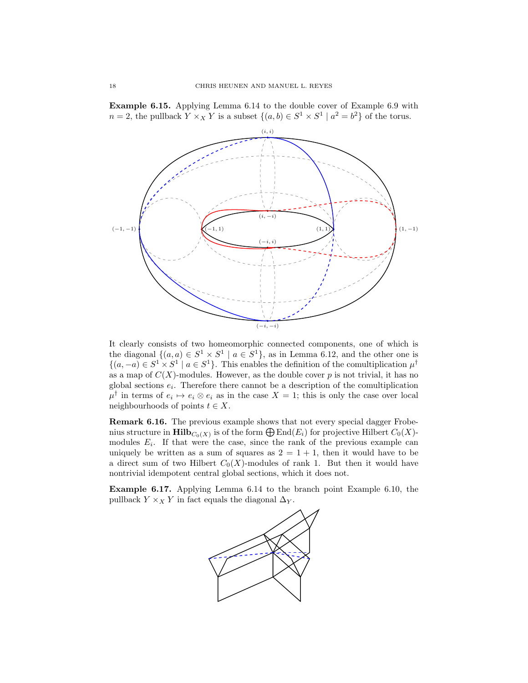Example 6.15. Applying Lemma 6.14 to the double cover of Example 6.9 with  $n = 2$ , the pullback  $Y \times_X Y$  is a subset  $\{(a, b) \in S^1 \times S^1 \mid a^2 = b^2\}$  of the torus.



It clearly consists of two homeomorphic connected components, one of which is the diagonal  $\{(a, a) \in S^1 \times S^1 \mid a \in S^1\}$ , as in Lemma 6.12, and the other one is  $\{(a, -a) \in S^1 \times S^1 \mid a \in S^1\}.$  This enables the definition of the comultiplication  $\mu^{\dagger}$ as a map of  $C(X)$ -modules. However, as the double cover p is not trivial, it has no global sections  $e_i$ . Therefore there cannot be a description of the comultiplication  $\mu^{\dagger}$  in terms of  $e_i \mapsto e_i \otimes e_i$  as in the case  $X = 1$ ; this is only the case over local neighbourhoods of points  $t \in X$ .

Remark 6.16. The previous example shows that not every special dagger Frobenius structure in  $\text{Hilb}_{C_0(X)}$  is of the form  $\bigoplus \text{End}(E_i)$  for projective Hilbert  $C_0(X)$ modules  $E_i$ . If that were the case, since the rank of the previous example can uniquely be written as a sum of squares as  $2 = 1 + 1$ , then it would have to be a direct sum of two Hilbert  $C_0(X)$ -modules of rank 1. But then it would have nontrivial idempotent central global sections, which it does not.

Example 6.17. Applying Lemma 6.14 to the branch point Example 6.10, the pullback  $Y \times_X Y$  in fact equals the diagonal  $\Delta_Y$ .

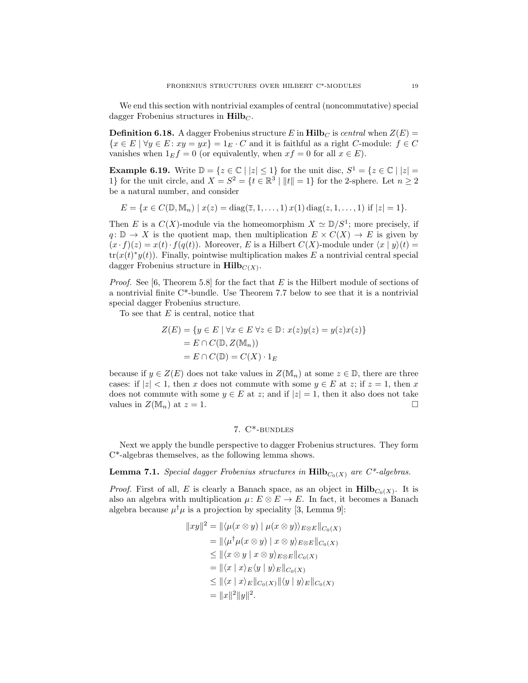We end this section with nontrivial examples of central (noncommutative) special dagger Frobenius structures in  $\text{Hilb}_C$ .

**Definition 6.18.** A dagger Frobenius structure E in  $\text{Hilb}_C$  is central when  $Z(E)$  =  ${x \in E \mid \forall y \in E : xy = yx} = 1_E \cdot C$  and it is faithful as a right C-module:  $f \in C$ vanishes when  $1_E f = 0$  (or equivalently, when  $xf = 0$  for all  $x \in E$ ).

**Example 6.19.** Write  $\mathbb{D} = \{z \in \mathbb{C} \mid |z| \leq 1\}$  for the unit disc,  $S^1 = \{z \in \mathbb{C} \mid |z| = 1\}$ 1} for the unit circle, and  $X = S^2 = \{t \in \mathbb{R}^3 \mid ||t|| = 1\}$  for the 2-sphere. Let  $n \geq 2$ be a natural number, and consider

 $E = \{x \in C(\mathbb{D}, \mathbb{M}_n) \mid x(z) = \text{diag}(\overline{z}, 1, \dots, 1) x(1) \text{diag}(z, 1, \dots, 1) \text{ if } |z| = 1\}.$ 

Then E is a  $C(X)$ -module via the homeomorphism  $X \simeq \mathbb{D}/S^1$ ; more precisely, if  $q: \mathbb{D} \to X$  is the quotient map, then multiplication  $E \times C(X) \to E$  is given by  $(x \cdot f)(z) = x(t) \cdot f(q(t))$ . Moreover, E is a Hilbert  $C(X)$ -module under  $\langle x | y \rangle(t) =$  $tr(x(t)^*y(t))$ . Finally, pointwise multiplication makes E a nontrivial central special dagger Frobenius structure in  $\text{Hilb}_{C(X)}$ .

*Proof.* See [6, Theorem 5.8] for the fact that  $E$  is the Hilbert module of sections of a nontrivial finite C\*-bundle. Use Theorem 7.7 below to see that it is a nontrivial special dagger Frobenius structure.

To see that  $E$  is central, notice that

$$
Z(E) = \{ y \in E \mid \forall x \in E \forall z \in \mathbb{D} \colon x(z)y(z) = y(z)x(z) \}
$$

$$
= E \cap C(\mathbb{D}, Z(\mathbb{M}_n))
$$

$$
= E \cap C(\mathbb{D}) = C(X) \cdot 1_E
$$

because if  $y \in Z(E)$  does not take values in  $Z(\mathbb{M}_n)$  at some  $z \in \mathbb{D}$ , there are three cases: if  $|z| < 1$ , then x does not commute with some  $y \in E$  at z; if  $z = 1$ , then x does not commute with some  $y \in E$  at z; and if  $|z|=1$ , then it also does not take values in  $Z(\mathbb{M}_n)$  at  $z=1$ .

## 7. C\*-bundles

Next we apply the bundle perspective to dagger Frobenius structures. They form C\*-algebras themselves, as the following lemma shows.

**Lemma 7.1.** Special dagger Frobenius structures in  $\text{Hilb}_{C_0(X)}$  are  $C^*$ -algebras.

*Proof.* First of all, E is clearly a Banach space, as an object in  $\text{Hilb}_{C_0(X)}$ . It is also an algebra with multiplication  $\mu: E \otimes E \to E$ . In fact, it becomes a Banach algebra because  $\mu^{\dagger} \mu$  is a projection by speciality [3, Lemma 9]:

$$
||xy||^2 = ||\langle \mu(x \otimes y) | \mu(x \otimes y) \rangle_{E \otimes E}||_{C_0(X)}
$$
  
\n
$$
= ||\langle \mu^{\dagger} \mu(x \otimes y) | x \otimes y \rangle_{E \otimes E}||_{C_0(X)}
$$
  
\n
$$
\leq ||\langle x \otimes y | x \otimes y \rangle_{E \otimes E}||_{C_0(X)}
$$
  
\n
$$
= ||\langle x | x \rangle_E \langle y | y \rangle_E||_{C_0(X)}
$$
  
\n
$$
\leq ||\langle x | x \rangle_E ||_{C_0(X)} ||\langle y | y \rangle_E||_{C_0(X)}
$$
  
\n
$$
= ||x||^2 ||y||^2.
$$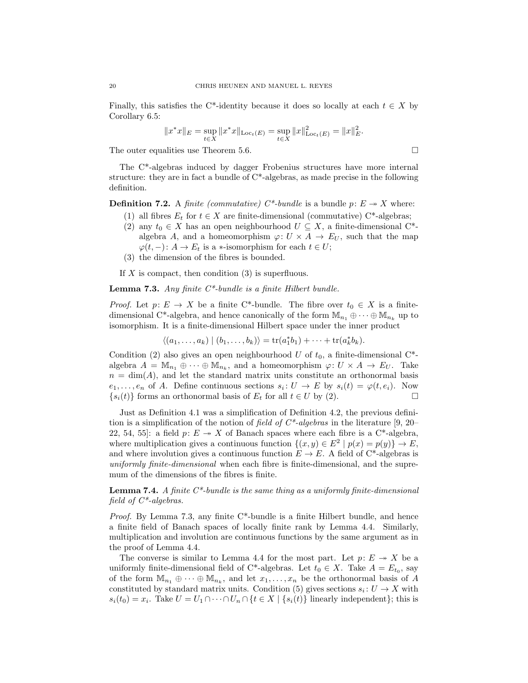Finally, this satisfies the C<sup>\*</sup>-identity because it does so locally at each  $t \in X$  by Corollary 6.5:

$$
||x^*x||_E = \sup_{t \in X} ||x^*x||_{\text{Loc}_t(E)} = \sup_{t \in X} ||x||_{\text{Loc}_t(E)}^2 = ||x||_E^2.
$$

The outer equalities use Theorem 5.6.

The C\*-algebras induced by dagger Frobenius structures have more internal structure: they are in fact a bundle of C\*-algebras, as made precise in the following definition.

**Definition 7.2.** A finite (commutative)  $C^*$ -bundle is a bundle  $p: E \rightarrow X$  where:

- (1) all fibres  $E_t$  for  $t \in X$  are finite-dimensional (commutative) C<sup>\*</sup>-algebras;
- (2) any  $t_0 \in X$  has an open neighbourhood  $U \subseteq X$ , a finite-dimensional C<sup>\*</sup>algebra A, and a homeomorphism  $\varphi: U \times A \to E_U$ , such that the map  $\varphi(t, -) : A \to E_t$  is a  $\ast$ -isomorphism for each  $t \in U$ ;
- (3) the dimension of the fibres is bounded.

If X is compact, then condition  $(3)$  is superfluous.

**Lemma 7.3.** Any finite  $C^*$ -bundle is a finite Hilbert bundle.

*Proof.* Let  $p: E \to X$  be a finite C\*-bundle. The fibre over  $t_0 \in X$  is a finitedimensional C<sup>\*</sup>-algebra, and hence canonically of the form  $\mathbb{M}_{n_1} \oplus \cdots \oplus \mathbb{M}_{n_k}$  up to isomorphism. It is a finite-dimensional Hilbert space under the inner product

$$
\langle (a_1,\ldots,a_k) \mid (b_1,\ldots,b_k) \rangle = \text{tr}(a_1^*b_1) + \cdots + \text{tr}(a_k^*b_k).
$$

Condition (2) also gives an open neighbourhood U of  $t_0$ , a finite-dimensional C<sup>\*</sup>algebra  $A = \mathbb{M}_{n_1} \oplus \cdots \oplus \mathbb{M}_{n_k}$ , and a homeomorphism  $\varphi: U \times A \to E_U$ . Take  $n = \dim(A)$ , and let the standard matrix units constitute an orthonormal basis  $e_1, \ldots, e_n$  of A. Define continuous sections  $s_i: U \to E$  by  $s_i(t) = \varphi(t, e_i)$ . Now  ${s_i(t)}$  forms an orthonormal basis of  $E_t$  for all  $t \in U$  by (2).

Just as Definition 4.1 was a simplification of Definition 4.2, the previous definition is a simplification of the notion of field of  $C^*$ -algebras in the literature [9, 20– 22, 54, 55]: a field  $p: E \rightarrow X$  of Banach spaces where each fibre is a C<sup>\*</sup>-algebra, where multiplication gives a continuous function  $\{(x, y) \in E^2 \mid p(x) = p(y)\} \to E$ , and where involution gives a continuous function  $E \to E$ . A field of C<sup>\*</sup>-algebras is uniformly finite-dimensional when each fibre is finite-dimensional, and the supremum of the dimensions of the fibres is finite.

**Lemma 7.4.** A finite  $C^*$ -bundle is the same thing as a uniformly finite-dimensional field of  $C^*$ -algebras.

*Proof.* By Lemma 7.3, any finite  $C^*$ -bundle is a finite Hilbert bundle, and hence a finite field of Banach spaces of locally finite rank by Lemma 4.4. Similarly, multiplication and involution are continuous functions by the same argument as in the proof of Lemma 4.4.

The converse is similar to Lemma 4.4 for the most part. Let  $p: E \rightarrow X$  be a uniformly finite-dimensional field of C<sup>\*</sup>-algebras. Let  $t_0 \in X$ . Take  $A = E_{t_0}$ , say of the form  $\mathbb{M}_{n_1} \oplus \cdots \oplus \mathbb{M}_{n_k}$ , and let  $x_1, \ldots, x_n$  be the orthonormal basis of A constituted by standard matrix units. Condition (5) gives sections  $s_i: U \to X$  with  $s_i(t_0) = x_i$ . Take  $U = U_1 \cap \cdots \cap U_n \cap \{t \in X \mid \{s_i(t)\}\}$  linearly independent}; this is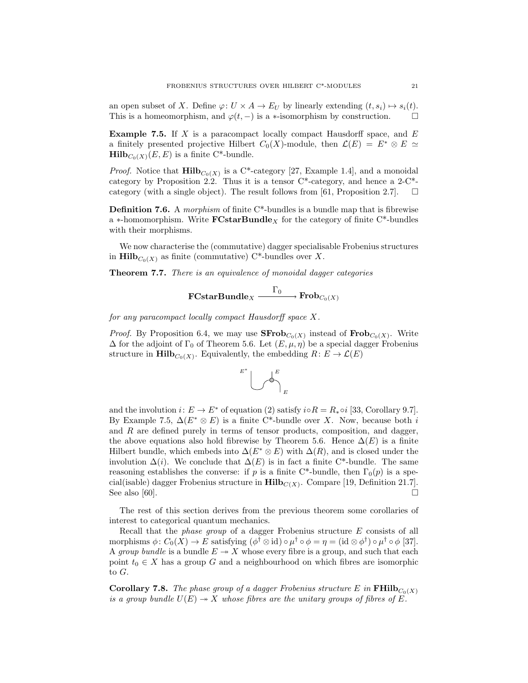an open subset of X. Define  $\varphi: U \times A \to E_U$  by linearly extending  $(t, s_i) \mapsto s_i(t)$ . This is a homeomorphism, and  $\varphi(t, -)$  is a ∗-isomorphism by construction.  $\square$ 

**Example 7.5.** If X is a paracompact locally compact Hausdorff space, and  $E$ a finitely presented projective Hilbert  $C_0(X)$ -module, then  $\mathcal{L}(E) = E^* \otimes E \simeq$  $\text{Hilb}_{C_0(X)}(E, E)$  is a finite C\*-bundle.

*Proof.* Notice that  $\textbf{Hilb}_{C_0(X)}$  is a C<sup>\*</sup>-category [27, Example 1.4], and a monoidal category by Proposition 2.2. Thus it is a tensor  $C^*$ -category, and hence a  $2-C^*$ category (with a single object). The result follows from [61, Proposition 2.7].  $\Box$ 

**Definition 7.6.** A morphism of finite  $C^*$ -bundles is a bundle map that is fibrewise a ∗-homomorphism. Write  $\textbf{FCstarBundle}_X$  for the category of finite C<sup>\*</sup>-bundles with their morphisms.

We now characterise the (commutative) dagger specialisable Frobenius structures in  $\text{Hilb}_{C_0(X)}$  as finite (commutative) C\*-bundles over X.

**Theorem 7.7.** There is an equivalence of monoidal dagger categories

$$
\textbf{FCstarBundle}_X \xrightarrow{\Gamma_0} \textbf{Frob}_{C_0(X)}
$$

for any paracompact locally compact Hausdorff space X.

*Proof.* By Proposition 6.4, we may use  $\mathbf{SFrob}_{C_0(X)}$  instead of  $\mathbf{Frob}_{C_0(X)}$ . Write  $\Delta$  for the adjoint of  $\Gamma_0$  of Theorem 5.6. Let  $(E, \mu, \eta)$  be a special dagger Frobenius structure in  $\text{Hilb}_{C_0(X)}$ . Equivalently, the embedding  $R: E \to \mathcal{L}(E)$ 



and the involution  $i: E \to E^*$  of equation (2) satisfy  $i \circ R = R_* \circ i$  [33, Corollary 9.7]. By Example 7.5,  $\Delta(E^* \otimes E)$  is a finite C<sup>\*</sup>-bundle over X. Now, because both i and R are defined purely in terms of tensor products, composition, and dagger, the above equations also hold fibrewise by Theorem 5.6. Hence  $\Delta(E)$  is a finite Hilbert bundle, which embeds into  $\Delta(E^* \otimes E)$  with  $\Delta(R)$ , and is closed under the involution  $\Delta(i)$ . We conclude that  $\Delta(E)$  is in fact a finite C<sup>\*</sup>-bundle. The same reasoning establishes the converse: if p is a finite C\*-bundle, then  $\Gamma_0(p)$  is a special(isable) dagger Frobenius structure in  $\text{Hilb}_{C(X)}$ . Compare [19, Definition 21.7]. See also [60].  $\Box$ 

The rest of this section derives from the previous theorem some corollaries of interest to categorical quantum mechanics.

Recall that the phase group of a dagger Frobenius structure E consists of all morphisms  $\phi \colon C_0(X) \to E$  satisfying  $(\phi^{\dagger} \otimes id) \circ \mu^{\dagger} \circ \phi = \eta = (id \otimes \phi^{\dagger}) \circ \mu^{\dagger} \circ \phi$  [37]. A group bundle is a bundle  $E \rightarrow X$  whose every fibre is a group, and such that each point  $t_0 \in X$  has a group G and a neighbourhood on which fibres are isomorphic to G.

**Corollary 7.8.** The phase group of a dagger Frobenius structure E in  $\textbf{FHilb}_{C_0(X)}$ is a group bundle  $U(E) \rightarrow X$  whose fibres are the unitary groups of fibres of E.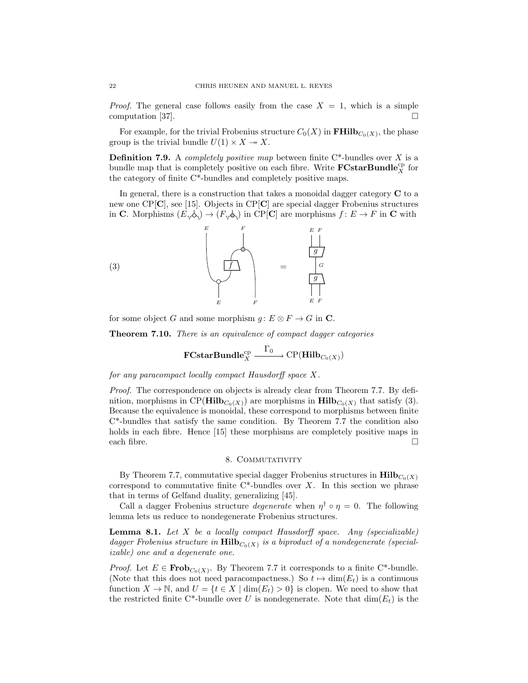*Proof.* The general case follows easily from the case  $X = 1$ , which is a simple computation [37].

For example, for the trivial Frobenius structure  $C_0(X)$  in  $\textbf{FHilb}_{C_0(X)}$ , the phase group is the trivial bundle  $U(1) \times X \rightarrow X$ .

**Definition 7.9.** A *completely positive map* between finite  $C^*$ -bundles over X is a bundle map that is completely positive on each fibre. Write  $\mathbf{FCstarBundle}_{X}^{\mathrm{cp}}$  for the category of finite C\*-bundles and completely positive maps.

In general, there is a construction that takes a monoidal dagger category  $C$  to a new one CP[C], see [15]. Objects in CP[C] are special dagger Frobenius structures in C. Morphisms  $(E, \phi) \to (F, \phi)$  in CP[C] are morphisms  $f: E \to F$  in C with



for some object G and some morphism  $g: E \otimes F \to G$  in C.

**Theorem 7.10.** There is an equivalence of compact dagger categories

$$
\mathbf{FCstarBundle}_{X}^{\mathrm{cp}} \xrightarrow{\Gamma_0} \mathrm{CP}(\mathbf{Hilb}_{C_0(X)})
$$

for any paracompact locally compact Hausdorff space X.

*Proof.* The correspondence on objects is already clear from Theorem 7.7. By definition, morphisms in CP( $\text{Hilb}_{C_0(X)}$ ) are morphisms in  $\text{Hilb}_{C_0(X)}$  that satisfy (3). Because the equivalence is monoidal, these correspond to morphisms between finite C\*-bundles that satisfy the same condition. By Theorem 7.7 the condition also holds in each fibre. Hence [15] these morphisms are completely positive maps in each fibre.  $\Box$ 

## 8. COMMUTATIVITY

By Theorem 7.7, commutative special dagger Frobenius structures in  $\text{Hilb}_{C_0(X)}$ correspond to commutative finite  $C^*$ -bundles over X. In this section we phrase that in terms of Gelfand duality, generalizing [45].

Call a dagger Frobenius structure *degenerate* when  $\eta^{\dagger} \circ \eta = 0$ . The following lemma lets us reduce to nondegenerate Frobenius structures.

**Lemma 8.1.** Let  $X$  be a locally compact Hausdorff space. Any (specializable) dagger Frobenius structure in  $\text{Hilb}_{C_0(X)}$  is a biproduct of a nondegenerate (specializable) one and a degenerate one.

*Proof.* Let  $E \in \mathbf{Frob}_{C_0(X)}$ . By Theorem 7.7 it corresponds to a finite C<sup>\*</sup>-bundle. (Note that this does not need paracompactness.) So  $t \mapsto \dim(E_t)$  is a continuous function  $X \to \mathbb{N}$ , and  $U = \{t \in X \mid \dim(E_t) > 0\}$  is clopen. We need to show that the restricted finite C\*-bundle over U is nondegenerate. Note that  $\dim(E_t)$  is the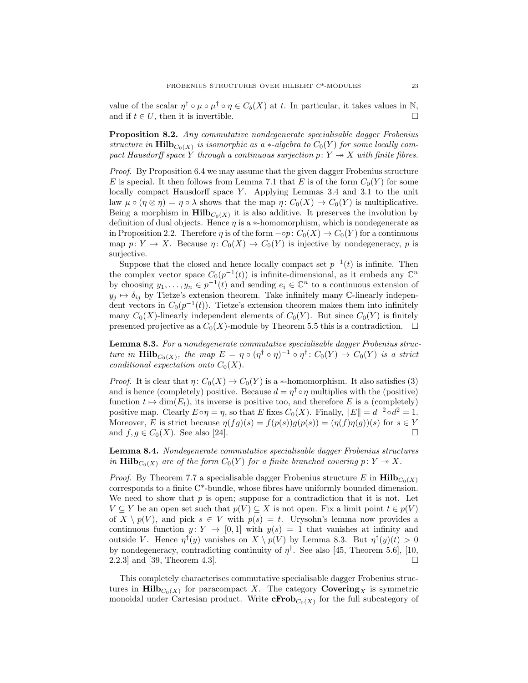value of the scalar  $\eta^{\dagger} \circ \mu \circ \mu^{\dagger} \circ \eta \in C_b(X)$  at t. In particular, it takes values in N, and if  $t \in U$ , then it is invertible.

Proposition 8.2. Any commutative nondegenerate specialisable dagger Frobenius structure in  $\text{Hilb}_{C_0(X)}$  is isomorphic as a  $*$ -algebra to  $C_0(Y)$  for some locally compact Hausdorff space Y through a continuous surjection  $p: Y \to X$  with finite fibres.

Proof. By Proposition 6.4 we may assume that the given dagger Frobenius structure E is special. It then follows from Lemma 7.1 that E is of the form  $C_0(Y)$  for some locally compact Hausdorff space  $Y$ . Applying Lemmas 3.4 and 3.1 to the unit law  $\mu \circ (\eta \otimes \eta) = \eta \circ \lambda$  shows that the map  $\eta \colon C_0(X) \to C_0(Y)$  is multiplicative. Being a morphism in  $\text{Hilb}_{C_0(X)}$  it is also additive. It preserves the involution by definition of dual objects. Hence  $\eta$  is a  $*$ -homomorphism, which is nondegenerate as in Proposition 2.2. Therefore  $\eta$  is of the form  $\neg$   $\varphi$ :  $C_0(X) \to C_0(Y)$  for a continuous map  $p: Y \to X$ . Because  $\eta: C_0(X) \to C_0(Y)$  is injective by nondegeneracy, p is surjective.

Suppose that the closed and hence locally compact set  $p^{-1}(t)$  is infinite. Then the complex vector space  $C_0(p^{-1}(t))$  is infinite-dimensional, as it embeds any  $\mathbb{C}^n$ by choosing  $y_1, \ldots, y_n \in p^{-1}(t)$  and sending  $e_i \in \mathbb{C}^n$  to a continuous extension of  $y_j \mapsto \delta_{ij}$  by Tietze's extension theorem. Take infinitely many C-linearly independent vectors in  $C_0(p^{-1}(t))$ . Tietze's extension theorem makes them into infinitely many  $C_0(X)$ -linearly independent elements of  $C_0(Y)$ . But since  $C_0(Y)$  is finitely presented projective as a  $C_0(X)$ -module by Theorem 5.5 this is a contradiction.  $\Box$ 

Lemma 8.3. For a nondegenerate commutative specialisable dagger Frobenius structure in  $\text{Hilb}_{C_0(X)}$ , the map  $E = \eta \circ (\eta^{\dagger} \circ \eta)^{-1} \circ \eta^{\dagger} : C_0(Y) \to C_0(Y)$  is a strict conditional expectation onto  $C_0(X)$ .

*Proof.* It is clear that  $\eta: C_0(X) \to C_0(Y)$  is a \*-homomorphism. It also satisfies (3) and is hence (completely) positive. Because  $d = \eta^{\dagger} \circ \eta$  multiplies with the (positive) function  $t \mapsto \dim(E_t)$ , its inverse is positive too, and therefore E is a (completely) positive map. Clearly  $E \circ \eta = \eta$ , so that E fixes  $C_0(X)$ . Finally,  $||E|| = d^{-2} \circ d^2 = 1$ . Moreover, E is strict because  $\eta(fg)(s) = f(p(s))g(p(s)) = (\eta(f)\eta(g))(s)$  for  $s \in Y$ and  $f, g \in C_0(X)$ . See also [24].

Lemma 8.4. Nondegenerate commutative specialisable dagger Frobenius structures in Hilb<sub>C0</sub>(X) are of the form  $C_0(Y)$  for a finite branched covering  $p: Y \to X$ .

*Proof.* By Theorem 7.7 a specialisable dagger Frobenius structure E in  $\text{Hilb}_{C_0(X)}$ corresponds to a finite C\*-bundle, whose fibres have uniformly bounded dimension. We need to show that  $p$  is open; suppose for a contradiction that it is not. Let  $V \subseteq Y$  be an open set such that  $p(V) \subseteq X$  is not open. Fix a limit point  $t \in p(V)$ of  $X \setminus p(V)$ , and pick  $s \in V$  with  $p(s) = t$ . Urysohn's lemma now provides a continuous function  $y: Y \to [0,1]$  with  $y(s) = 1$  that vanishes at infinity and outside V. Hence  $\eta^{\dagger}(y)$  vanishes on  $X \setminus p(V)$  by Lemma 8.3. But  $\eta^{\dagger}(y)(t) > 0$ by nondegeneracy, contradicting continuity of  $\eta^{\dagger}$ . See also [45, Theorem 5.6], [10, 2.2.3] and [39, Theorem 4.3].

This completely characterises commutative specialisable dagger Frobenius structures in  $\text{Hilb}_{C_0(X)}$  for paracompact X. The category  $\text{Covering}_X$  is symmetric monoidal under Cartesian product. Write  $\mathbf{cFrob}_{C_0(X)}$  for the full subcategory of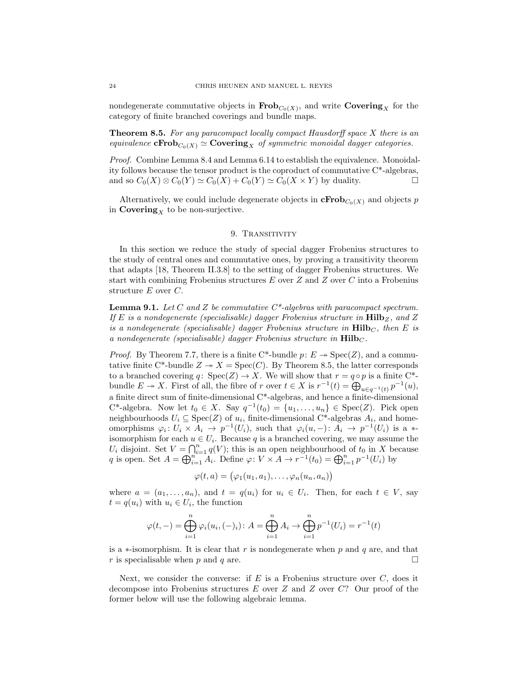nondegenerate commutative objects in  $\textbf{Frob}_{C_0(X)}$ , and write  $\textbf{Covering}_X$  for the category of finite branched coverings and bundle maps.

**Theorem 8.5.** For any paracompact locally compact Hausdorff space  $X$  there is an equivalence  $\mathbf{cFrob}_{C_0(X)} \simeq \mathbf{Covering}_X$  of symmetric monoidal dagger categories.

Proof. Combine Lemma 8.4 and Lemma 6.14 to establish the equivalence. Monoidality follows because the tensor product is the coproduct of commutative C\*-algebras, and so  $C_0(X) \otimes C_0(Y) \simeq C_0(X) + C_0(Y) \simeq C_0(X \times Y)$  by duality.

Alternatively, we could include degenerate objects in  $\mathbf{cFrob}_{C_0(X)}$  and objects p in  $\mathbf{Covering}_X$  to be non-surjective.

#### 9. TRANSITIVITY

In this section we reduce the study of special dagger Frobenius structures to the study of central ones and commutative ones, by proving a transitivity theorem that adapts [18, Theorem II.3.8] to the setting of dagger Frobenius structures. We start with combining Frobenius structures  $E$  over  $Z$  and  $Z$  over  $C$  into a Frobenius structure E over C.

**Lemma 9.1.** Let C and Z be commutative  $C^*$ -algebras with paracompact spectrum. If E is a nondegenerate (specialisable) dagger Frobenius structure in  $\text{Hilb}_Z$ , and Z is a nondegenerate (specialisable) dagger Frobenius structure in  $\text{Hilb}_C$ , then E is a nondegenerate (specialisable) dagger Frobenius structure in  $\textbf{Hilb}_C$ .

*Proof.* By Theorem 7.7, there is a finite C\*-bundle  $p: E \rightarrow Spec(Z)$ , and a commutative finite C\*-bundle  $Z \to X = \text{Spec}(C)$ . By Theorem 8.5, the latter corresponds to a branched covering  $q: Spec(Z) \to X$ . We will show that  $r = q \circ p$  is a finite C<sup>\*</sup>bundle  $E \to X$ . First of all, the fibre of r over  $t \in X$  is  $r^{-1}(t) = \bigoplus_{u \in q^{-1}(t)} p^{-1}(u)$ , a finite direct sum of finite-dimensional C\*-algebras, and hence a finite-dimensional C<sup>\*</sup>-algebra. Now let  $t_0 \in X$ . Say  $q^{-1}(t_0) = \{u_1, \ldots, u_n\} \in \text{Spec}(Z)$ . Pick open neighbourhoods  $U_i \subseteq \text{Spec}(Z)$  of  $u_i$ , finite-dimensional C<sup>\*</sup>-algebras  $A_i$ , and homeomorphisms  $\varphi_i: U_i \times A_i \to p^{-1}(U_i)$ , such that  $\varphi_i(u, -): A_i \to p^{-1}(U_i)$  is a \*isomorphism for each  $u \in U_i$ . Because q is a branched covering, we may assume the  $U_i$  disjoint. Set  $V = \bigcap_{i=1}^n q(V)$ ; this is an open neighbourhood of  $t_0$  in X because q is open. Set  $A = \bigoplus_{i=1}^{n} A_i$ . Define  $\varphi: V \times A \to r^{-1}(t_0) = \bigoplus_{i=1}^{n} p^{-1}(U_i)$  by

$$
\varphi(t,a) = (\varphi_1(u_1,a_1), \ldots, \varphi_n(u_n,a_n))
$$

where  $a = (a_1, \ldots, a_n)$ , and  $t = q(u_i)$  for  $u_i \in U_i$ . Then, for each  $t \in V$ , say  $t = q(u_i)$  with  $u_i \in U_i$ , the function

$$
\varphi(t,-) = \bigoplus_{i=1}^{n} \varphi_i(u_i, (-)_i) : A = \bigoplus_{i=1}^{n} A_i \to \bigoplus_{i=1}^{n} p^{-1}(U_i) = r^{-1}(t)
$$

is a  $\ast$ -isomorphism. It is clear that r is nondegenerate when p and q are, and that r is specialisable when p and q are.  $\square$ 

Next, we consider the converse: if  $E$  is a Frobenius structure over  $C$ , does it decompose into Frobenius structures E over Z and Z over C? Our proof of the former below will use the following algebraic lemma.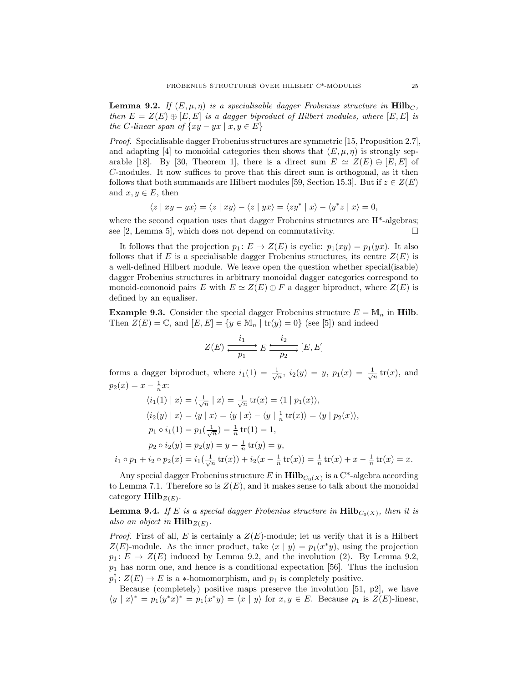**Lemma 9.2.** If  $(E, \mu, \eta)$  is a specialisable dagger Frobenius structure in Hilb<sub>C</sub>, then  $E = Z(E) \oplus [E, E]$  is a dagger biproduct of Hilbert modules, where  $[E, E]$  is the C-linear span of  $\{xy - yx \mid x, y \in E\}$ 

Proof. Specialisable dagger Frobenius structures are symmetric [15, Proposition 2.7], and adapting [4] to monoidal categories then shows that  $(E, \mu, \eta)$  is strongly separable [18]. By [30, Theorem 1], there is a direct sum  $E \simeq Z(E) \oplus [E, E]$  of C-modules. It now suffices to prove that this direct sum is orthogonal, as it then follows that both summands are Hilbert modules [59, Section 15.3]. But if  $z \in Z(E)$ and  $x, y \in E$ , then

$$
\langle z \mid xy - yx \rangle = \langle z \mid xy \rangle - \langle z \mid yx \rangle = \langle zy^* \mid x \rangle - \langle y^* z \mid x \rangle = 0,
$$

where the second equation uses that dagger Frobenius structures are  $H^*$ -algebras; see [2, Lemma 5], which does not depend on commutativity.  $\square$ 

It follows that the projection  $p_1 : E \to Z(E)$  is cyclic:  $p_1(xy) = p_1(yx)$ . It also follows that if E is a specialisable dagger Frobenius structures, its centre  $Z(E)$  is a well-defined Hilbert module. We leave open the question whether special(isable) dagger Frobenius structures in arbitrary monoidal dagger categories correspond to monoid-comonoid pairs E with  $E \simeq Z(E) \oplus F$  a dagger biproduct, where  $Z(E)$  is defined by an equaliser.

**Example 9.3.** Consider the special dagger Frobenius structure  $E = M_n$  in Hilb. Then  $Z(E) = \mathbb{C}$ , and  $[E, E] = \{y \in \mathbb{M}_n \mid \text{tr}(y) = 0\}$  (see [5]) and indeed

$$
Z(E) \xrightarrow[p_1]{i_1} E \xrightarrow[p_2]{i_2} [E, E]
$$

forms a dagger biproduct, where  $i_1(1) = \frac{1}{\sqrt{n}}$ ,  $i_2(y) = y$ ,  $p_1(x) = \frac{1}{\sqrt{n}}$  tr(x), and  $p_2(x) = x - \frac{1}{n}x$ :

$$
\langle i_1(1) | x \rangle = \langle \frac{1}{\sqrt{n}} | x \rangle = \frac{1}{\sqrt{n}} \operatorname{tr}(x) = \langle 1 | p_1(x) \rangle,
$$
  
\n
$$
\langle i_2(y) | x \rangle = \langle y | x \rangle = \langle y | x \rangle - \langle y | \frac{1}{n} \operatorname{tr}(x) \rangle = \langle y | p_2(x) \rangle,
$$
  
\n
$$
p_1 \circ i_1(1) = p_1(\frac{1}{\sqrt{n}}) = \frac{1}{n} \operatorname{tr}(1) = 1,
$$
  
\n
$$
p_2 \circ i_2(y) = p_2(y) = y - \frac{1}{n} \operatorname{tr}(y) = y,
$$
  
\n
$$
i_1 \circ p_1 + i_2 \circ p_2(x) = i_1(\frac{1}{\sqrt{n}} \operatorname{tr}(x)) + i_2(x - \frac{1}{n} \operatorname{tr}(x)) = \frac{1}{n} \operatorname{tr}(x) + x - \frac{1}{n} \operatorname{tr}(x) = x.
$$

Any special dagger Frobenius structure E in  $\text{Hilb}_{C_0(X)}$  is a  $\mathbb{C}^*$ -algebra according to Lemma 7.1. Therefore so is  $Z(E)$ , and it makes sense to talk about the monoidal category  $\text{Hilb}_{Z(E)}$ .

**Lemma 9.4.** If E is a special dagger Frobenius structure in  $\text{Hilb}_{C_0(X)}$ , then it is also an object in  $\textbf{Hilb}_{Z(E)}$ .

*Proof.* First of all, E is certainly a  $Z(E)$ -module; let us verify that it is a Hilbert  $Z(E)$ -module. As the inner product, take  $\langle x | y \rangle = p_1(x^*y)$ , using the projection  $p_1: E \to Z(E)$  induced by Lemma 9.2, and the involution (2). By Lemma 9.2,  $p_1$  has norm one, and hence is a conditional expectation [56]. Thus the inclusion  $p_1^{\dagger}$ :  $Z(E) \rightarrow E$  is a \*-homomorphism, and  $p_1$  is completely positive.

Because (completely) positive maps preserve the involution [51, p2], we have  $\langle y | x \rangle^* = p_1(y^*x)^* = p_1(x^*y) = \langle x | y \rangle$  for  $x, y \in E$ . Because  $p_1$  is  $Z(E)$ -linear,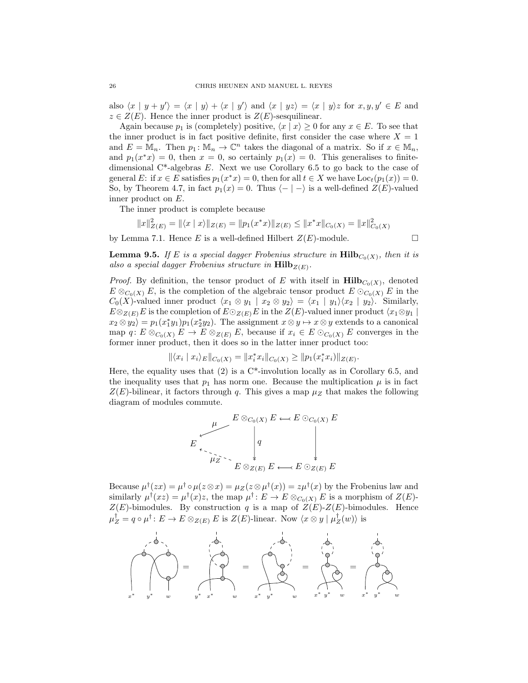also  $\langle x | y + y' \rangle = \langle x | y \rangle + \langle x | y' \rangle$  and  $\langle x | yz \rangle = \langle x | y \rangle z$  for  $x, y, y' \in E$  and  $z \in Z(E)$ . Hence the inner product is  $Z(E)$ -sesquilinear.

Again because  $p_1$  is (completely) positive,  $\langle x | x \rangle \geq 0$  for any  $x \in E$ . To see that the inner product is in fact positive definite, first consider the case where  $X = 1$ and  $E = \mathbb{M}_n$ . Then  $p_1 : \mathbb{M}_n \to \mathbb{C}^n$  takes the diagonal of a matrix. So if  $x \in \mathbb{M}_n$ , and  $p_1(x^*x) = 0$ , then  $x = 0$ , so certainly  $p_1(x) = 0$ . This generalises to finitedimensional C<sup>\*</sup>-algebras E. Next we use Corollary 6.5 to go back to the case of general E: if  $x \in E$  satisfies  $p_1(x^*x) = 0$ , then for all  $t \in X$  we have  $Loc_t(p_1(x)) = 0$ . So, by Theorem 4.7, in fact  $p_1(x) = 0$ . Thus  $\langle - | - \rangle$  is a well-defined  $Z(E)$ -valued inner product on E.

The inner product is complete because

$$
||x||_{Z(E)}^2 = ||\langle x | x \rangle||_{Z(E)} = ||p_1(x^*x)||_{Z(E)} \le ||x^*x||_{C_0(X)} = ||x||_{C_0(X)}^2
$$

by Lemma 7.1. Hence E is a well-defined Hilbert  $Z(E)$ -module.

**Lemma 9.5.** If E is a special dagger Frobenius structure in  $\text{Hilb}_{C_0(X)}$ , then it is also a special dagger Frobenius structure in  $\textbf{Hilb}_{Z(E)}$ .

*Proof.* By definition, the tensor product of E with itself in  $\text{Hilb}_{C_0(X)}$ , denoted  $E \otimes_{C_0(X)} E$ , is the completion of the algebraic tensor product  $E \otimes_{C_0(X)} E$  in the  $C_0(X)$ -valued inner product  $\langle x_1 \otimes y_1 | x_2 \otimes y_2 \rangle = \langle x_1 | y_1 \rangle \langle x_2 | y_2 \rangle$ . Similarly,  $E \otimes_{Z(E)} E$  is the completion of  $E \odot_{Z(E)} E$  in the  $Z(E)$ -valued inner product  $\langle x_1 \otimes y_1 \rangle$  $x_2 \otimes y_2 = p_1(x_1^*y_1)p_1(x_2^*y_2)$ . The assignment  $x \otimes y \mapsto x \otimes y$  extends to a canonical map  $q: E \otimes_{C_0(X)} E \to E \otimes_{Z(E)} E$ , because if  $x_i \in E \otimes_{C_0(X)} E$  converges in the former inner product, then it does so in the latter inner product too:

$$
\|\langle x_i | x_i \rangle_E\|_{C_0(X)} = \|x_i^* x_i\|_{C_0(X)} \ge \|p_1(x_i^* x_i)\|_{Z(E)}.
$$

Here, the equality uses that (2) is a  $C^*$ -involution locally as in Corollary 6.5, and the inequality uses that  $p_1$  has norm one. Because the multiplication  $\mu$  is in fact  $Z(E)$ -bilinear, it factors through q. This gives a map  $\mu_Z$  that makes the following diagram of modules commute.

$$
E \downarrow \qquad E \otimes_{C_0(X)} E \longleftarrow E \odot_{C_0(X)} E
$$
  

$$
\downarrow \qquad \qquad \downarrow \qquad \qquad \downarrow
$$
  

$$
E \otimes_{Z(E)} E \longleftarrow E \odot_{Z(E)} E
$$

Because  $\mu^{\dagger}(zx) = \mu^{\dagger} \circ \mu(z \otimes x) = \mu_{Z}(z \otimes \mu^{\dagger}(x)) = z \mu^{\dagger}(x)$  by the Frobenius law and similarly  $\mu^{\dagger}(xz) = \mu^{\dagger}(x)z$ , the map  $\mu^{\dagger} : E \to E \otimes_{C_0(X)} E$  is a morphism of  $Z(E)$ - $Z(E)$ -bimodules. By construction q is a map of  $Z(E)$ - $Z(E)$ -bimodules. Hence  $\mu_Z^{\dagger} = q \circ \mu^{\dagger} : E \to E \otimes_{Z(E)} E$  is  $Z(E)$ -linear. Now  $\langle x \otimes y | \mu_Z^{\dagger}(w) \rangle$  is

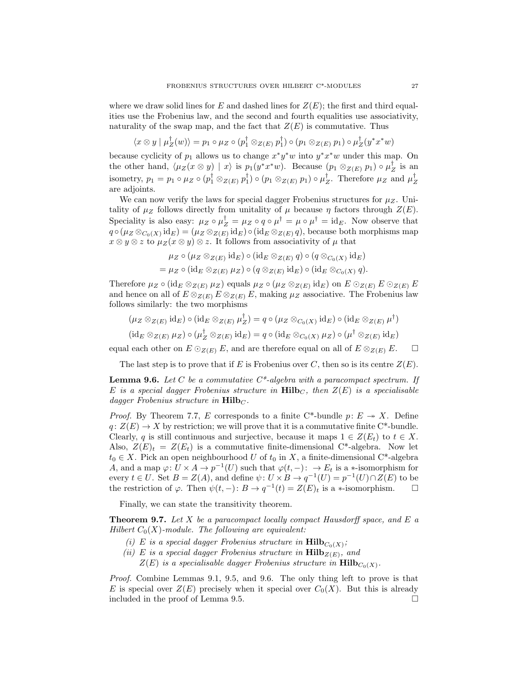where we draw solid lines for E and dashed lines for  $Z(E)$ ; the first and third equalities use the Frobenius law, and the second and fourth equalities use associativity, naturality of the swap map, and the fact that  $Z(E)$  is commutative. Thus

$$
\langle x \otimes y | \mu_Z^{\dagger}(w) \rangle = p_1 \circ \mu_Z \circ (p_1^{\dagger} \otimes_{Z(E)} p_1^{\dagger}) \circ (p_1 \otimes_{Z(E)} p_1) \circ \mu_Z^{\dagger}(y^*x^*w)
$$

because cyclicity of  $p_1$  allows us to change  $x^*y^*w$  into  $y^*x^*w$  under this map. On the other hand,  $\langle \mu_Z(x \otimes y) | x \rangle$  is  $p_1(y^*x^*w)$ . Because  $(p_1 \otimes_{Z(E)} p_1) \circ \mu_Z^{\dagger}$  is an isometry,  $p_1 = p_1 \circ \mu_Z \circ (p_1^{\dagger} \otimes_{Z(E)} p_1^{\dagger}) \circ (p_1 \otimes_{Z(E)} p_1) \circ \mu_Z^{\dagger}$ . Therefore  $\mu_Z$  and  $\mu_Z^{\dagger}$ are adjoints.

We can now verify the laws for special dagger Frobenius structures for  $\mu_Z$ . Unitality of  $\mu_Z$  follows directly from unitality of  $\mu$  because  $\eta$  factors through  $Z(E)$ . Speciality is also easy:  $\mu_Z \circ \mu_Z^{\dagger} = \mu_Z \circ q \circ \mu_Z^{\dagger} = \mu \circ \mu_Z^{\dagger} = id_E$ . Now observe that  $q\circ(\mu_Z\otimes_{C_0(X)}{\rm id}_E)=(\mu_Z\otimes_{Z(E)}{\rm id}_E)\circ({\rm id}_E\otimes_{Z(E)} q),$  because both morphisms map  $x \otimes y \otimes z$  to  $\mu_Z(x \otimes y) \otimes z$ . It follows from associativity of  $\mu$  that

$$
\mu_Z \circ (\mu_Z \otimes_{Z(E)} \mathrm{id}_E) \circ (\mathrm{id}_E \otimes_{Z(E)} q) \circ (q \otimes_{C_0(X)} \mathrm{id}_E)
$$
  
= 
$$
\mu_Z \circ (\mathrm{id}_E \otimes_{Z(E)} \mu_Z) \circ (q \otimes_{Z(E)} \mathrm{id}_E) \circ (\mathrm{id}_E \otimes_{C_0(X)} q).
$$

Therefore  $\mu_Z \circ (\mathrm{id}_E \otimes_{Z(E)} \mu_Z)$  equals  $\mu_Z \circ (\mu_Z \otimes_{Z(E)} \mathrm{id}_E)$  on  $E \odot_{Z(E)} E \odot_{Z(E)} E$ and hence on all of  $E \otimes_{Z(E)} E \otimes_{Z(E)} E$ , making  $\mu_Z$  associative. The Frobenius law follows similarly: the two morphisms

$$
(\mu_Z \otimes_{Z(E)} \mathrm{id}_E) \circ (\mathrm{id}_E \otimes_{Z(E)} \mu_Z^{\dagger}) = q \circ (\mu_Z \otimes_{C_0(X)} \mathrm{id}_E) \circ (\mathrm{id}_E \otimes_{Z(E)} \mu^{\dagger})
$$

$$
(\mathrm{id}_E \otimes_{Z(E)} \mu_Z) \circ (\mu_Z^{\dagger} \otimes_{Z(E)} \mathrm{id}_E) = q \circ (\mathrm{id}_E \otimes_{C_0(X)} \mu_Z) \circ (\mu^{\dagger} \otimes_{Z(E)} \mathrm{id}_E)
$$

equal each other on  $E \odot_{Z(E)} E$ , and are therefore equal on all of  $E \otimes_{Z(E)} E$ .  $\Box$ 

The last step is to prove that if E is Frobenius over C, then so is its centre  $Z(E)$ .

**Lemma 9.6.** Let C be a commutative  $C^*$ -algebra with a paracompact spectrum. If E is a special dagger Frobenius structure in  $\text{Hilb}_C$ , then  $Z(E)$  is a specialisable dagger Frobenius structure in  $\text{Hilb}_C$ .

*Proof.* By Theorem 7.7, E corresponds to a finite C\*-bundle  $p: E \rightarrow X$ . Define  $q: Z(E) \to X$  by restriction; we will prove that it is a commutative finite C\*-bundle. Clearly, q is still continuous and surjective, because it maps  $1 \in Z(E_t)$  to  $t \in X$ . Also,  $Z(E)_t = Z(E_t)$  is a commutative finite-dimensional C<sup>\*</sup>-algebra. Now let  $t_0 \in X$ . Pick an open neighbourhood U of  $t_0$  in X, a finite-dimensional C<sup>\*</sup>-algebra A, and a map  $\varphi: U \times A \to p^{-1}(U)$  such that  $\varphi(t, -): \to E_t$  is a \*-isomorphism for every  $t \in U$ . Set  $B = Z(A)$ , and define  $\psi: U \times B \to q^{-1}(U) = p^{-1}(U) \cap Z(E)$  to be the restriction of  $\varphi$ . Then  $\psi(t, -)$ :  $B \to q^{-1}(t) = Z(E)_t$  is a \*-isomorphism.  $\square$ 

Finally, we can state the transitivity theorem.

**Theorem 9.7.** Let X be a paracompact locally compact Hausdorff space, and E a Hilbert  $C_0(X)$ -module. The following are equivalent:

- (i) E is a special dagger Frobenius structure in  $\text{Hilb}_{C_0(X)}$ ;
- (ii) E is a special dagger Frobenius structure in  $\text{Hilb}_{Z(E)}$ , and
	- $Z(E)$  is a specialisable dagger Frobenius structure in  $\mathrm{Hilb}_{C_0(X)}$ .

Proof. Combine Lemmas 9.1, 9.5, and 9.6. The only thing left to prove is that E is special over  $Z(E)$  precisely when it special over  $C_0(X)$ . But this is already included in the proof of Lemma 9.5.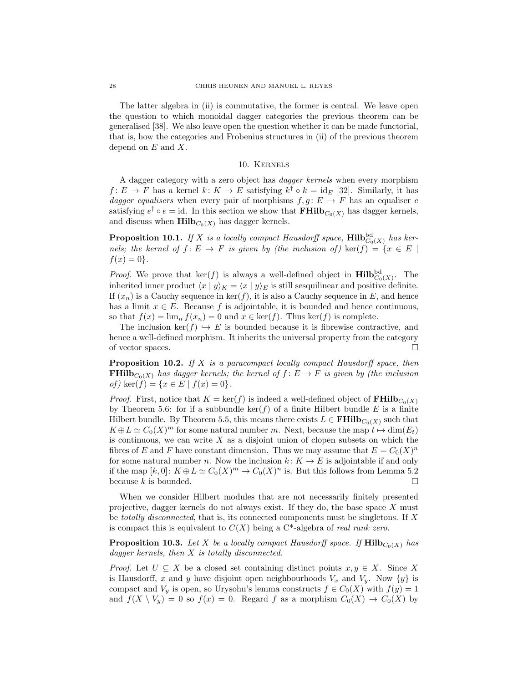The latter algebra in (ii) is commutative, the former is central. We leave open the question to which monoidal dagger categories the previous theorem can be generalised [38]. We also leave open the question whether it can be made functorial, that is, how the categories and Frobenius structures in (ii) of the previous theorem depend on  $E$  and  $X$ .

## 10. Kernels

A dagger category with a zero object has dagger kernels when every morphism  $f: E \to F$  has a kernel  $k: K \to E$  satisfying  $k^{\dagger} \circ k = \text{id}_{E}$  [32]. Similarly, it has dagger equalisers when every pair of morphisms  $f, g : E \to F$  has an equaliser e satisfying  $e^{\dagger} \circ e = id$ . In this section we show that  $\mathbf{FHilb}_{C_0(X)}$  has dagger kernels, and discuss when  $\text{Hilb}_{C_0(X)}$  has dagger kernels.

**Proposition 10.1.** If X is a locally compact Hausdorff space,  $\text{Hilb}_{C_0(X)}^{\text{bd}}$  has kernels; the kernel of  $f: E \to F$  is given by (the inclusion of)  $\ker(f) = \{x \in E \mid$  $f(x) = 0$ .

*Proof.* We prove that  $\ker(f)$  is always a well-defined object in  $\text{Hilb}_{C_0(X)}^{\text{bd}}$ . The inherited inner product  $\langle x | y \rangle_K = \langle x | y \rangle_E$  is still sesquilinear and positive definite. If  $(x_n)$  is a Cauchy sequence in ker(f), it is also a Cauchy sequence in E, and hence has a limit  $x \in E$ . Because f is adjointable, it is bounded and hence continuous, so that  $f(x) = \lim_{n} f(x_n) = 0$  and  $x \in \text{ker}(f)$ . Thus  $\text{ker}(f)$  is complete.

The inclusion ker(f)  $\hookrightarrow$  E is bounded because it is fibrewise contractive, and hence a well-defined morphism. It inherits the universal property from the category of vector spaces.  $\Box$ 

**Proposition 10.2.** If X is a paracompact locally compact Hausdorff space, then **FHilb**<sub>C<sub>0</sub>(X)</sub> has dagger kernels; the kernel of  $f: E \to F$  is given by (the inclusion of) ker $(f) = \{x \in E \mid f(x) = 0\}.$ 

*Proof.* First, notice that  $K = \text{ker}(f)$  is indeed a well-defined object of **FHilb**<sub>Co</sub>(x) by Theorem 5.6: for if a subbundle  $\ker(f)$  of a finite Hilbert bundle E is a finite Hilbert bundle. By Theorem 5.5, this means there exists  $L \in \mathbf{FHilb}_{C_0(X)}$  such that  $K \oplus L \simeq C_0(X)^m$  for some natural number m. Next, because the map  $t \mapsto \dim(E_t)$ is continuous, we can write  $X$  as a disjoint union of clopen subsets on which the fibres of E and F have constant dimension. Thus we may assume that  $E = C_0(X)^n$ for some natural number n. Now the inclusion  $k: K \to E$  is adjointable if and only if the map  $[k,0]: K \oplus L \simeq C_0(X)^m \to C_0(X)^n$  is. But this follows from Lemma 5.2 because k is bounded.  $\square$ 

When we consider Hilbert modules that are not necessarily finitely presented projective, dagger kernels do not always exist. If they do, the base space X must be totally disconnected, that is, its connected components must be singletons. If  $X$ is compact this is equivalent to  $C(X)$  being a C<sup>\*</sup>-algebra of *real rank zero*.

**Proposition 10.3.** Let X be a locally compact Hausdorff space. If  $\text{Hilb}_{C_0(X)}$  has dagger kernels, then X is totally disconnected.

*Proof.* Let  $U \subseteq X$  be a closed set containing distinct points  $x, y \in X$ . Since X is Hausdorff, x and y have disjoint open neighbourhoods  $V_x$  and  $V_y$ . Now  $\{y\}$  is compact and  $V_y$  is open, so Urysohn's lemma constructs  $f \in C_0(X)$  with  $f(y) = 1$ and  $f(X \setminus V_y) = 0$  so  $f(x) = 0$ . Regard f as a morphism  $C_0(X) \to C_0(X)$  by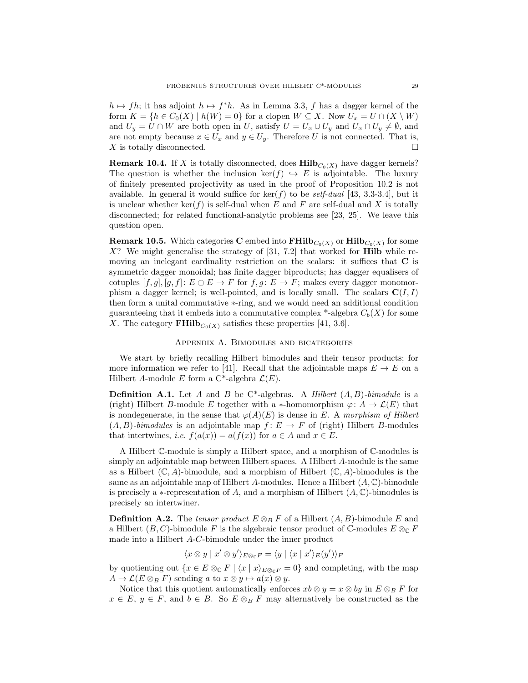$h \mapsto fh$ ; it has adjoint  $h \mapsto f^*h$ . As in Lemma 3.3, f has a dagger kernel of the form  $K = \{h \in C_0(X) \mid h(W) = 0\}$  for a clopen  $W \subseteq X$ . Now  $U_x = U \cap (X \setminus W)$ and  $U_y = U \cap W$  are both open in U, satisfy  $U = U_x \cup U_y$  and  $U_x \cap U_y \neq \emptyset$ , and are not empty because  $x \in U_x$  and  $y \in U_y$ . Therefore U is not connected. That is,  $X$  is totally disconnected.

**Remark 10.4.** If X is totally disconnected, does  $\text{Hilb}_{C_0(X)}$  have dagger kernels? The question is whether the inclusion ker(f)  $\hookrightarrow$  E is adjointable. The luxury of finitely presented projectivity as used in the proof of Proposition 10.2 is not available. In general it would suffice for  $\ker(f)$  to be self-dual [43, 3.3-3.4], but it is unclear whether  $\ker(f)$  is self-dual when E and F are self-dual and X is totally disconnected; for related functional-analytic problems see [23, 25]. We leave this question open.

**Remark 10.5.** Which categories **C** embed into  $\textbf{FHilb}_{C_0(X)}$  or  $\textbf{Hilb}_{C_0(X)}$  for some  $X$ ? We might generalise the strategy of  $[31, 7.2]$  that worked for **Hilb** while removing an inelegant cardinality restriction on the scalars: it suffices that C is symmetric dagger monoidal; has finite dagger biproducts; has dagger equalisers of cotuples  $[f, g], [g, f] : E \oplus E \to F$  for  $f, g : E \to F$ ; makes every dagger monomorphism a dagger kernel; is well-pointed, and is locally small. The scalars  $\mathbf{C}(I, I)$ then form a unital commutative ∗-ring, and we would need an additional condition guaranteeing that it embeds into a commutative complex \*-algebra  $C_b(X)$  for some X. The category  $\mathbf{FHilb}_{C_0(X)}$  satisfies these properties [41, 3.6].

## Appendix A. Bimodules and bicategories

We start by briefly recalling Hilbert bimodules and their tensor products; for more information we refer to [41]. Recall that the adjointable maps  $E \to E$  on a Hilbert A-module E form a C<sup>\*</sup>-algebra  $\mathcal{L}(E)$ .

**Definition A.1.** Let A and B be C\*-algebras. A Hilbert  $(A, B)$ -bimodule is a (right) Hilbert B-module E together with a  $\ast$ -homomorphism  $\varphi: A \to \mathcal{L}(E)$  that is nondegenerate, in the sense that  $\varphi(A)(E)$  is dense in E. A morphism of Hilbert  $(A, B)$ -bimodules is an adjointable map  $f: E \to F$  of (right) Hilbert B-modules that intertwines, *i.e.*  $f(a(x)) = a(f(x))$  for  $a \in A$  and  $x \in E$ .

A Hilbert C-module is simply a Hilbert space, and a morphism of C-modules is simply an adjointable map between Hilbert spaces. A Hilbert A-module is the same as a Hilbert  $(\mathbb{C}, A)$ -bimodule, and a morphism of Hilbert  $(\mathbb{C}, A)$ -bimodules is the same as an adjointable map of Hilbert A-modules. Hence a Hilbert  $(A, \mathbb{C})$ -bimodule is precisely a ∗-representation of A, and a morphism of Hilbert  $(A, \mathbb{C})$ -bimodules is precisely an intertwiner.

**Definition A.2.** The tensor product  $E \otimes_B F$  of a Hilbert  $(A, B)$ -bimodule E and a Hilbert  $(B, C)$ -bimodule F is the algebraic tensor product of  $\mathbb{C}$ -modules  $E \otimes_{\mathbb{C}} F$ made into a Hilbert A-C-bimodule under the inner product

$$
\langle x \otimes y | x' \otimes y' \rangle_{E \otimes_{\mathbb{C}} F} = \langle y | \langle x | x' \rangle_E(y') \rangle_F
$$

by quotienting out  $\{x \in E \otimes_{\mathbb{C}} F \mid \langle x | x \rangle_{E \otimes_{\mathbb{C}} F} = 0\}$  and completing, with the map  $A \to \mathcal{L}(E \otimes_B F)$  sending a to  $x \otimes y \mapsto a(x) \otimes y$ .

Notice that this quotient automatically enforces  $xb \otimes y = x \otimes by$  in  $E \otimes_B F$  for  $x \in E$ ,  $y \in F$ , and  $b \in B$ . So  $E \otimes_B F$  may alternatively be constructed as the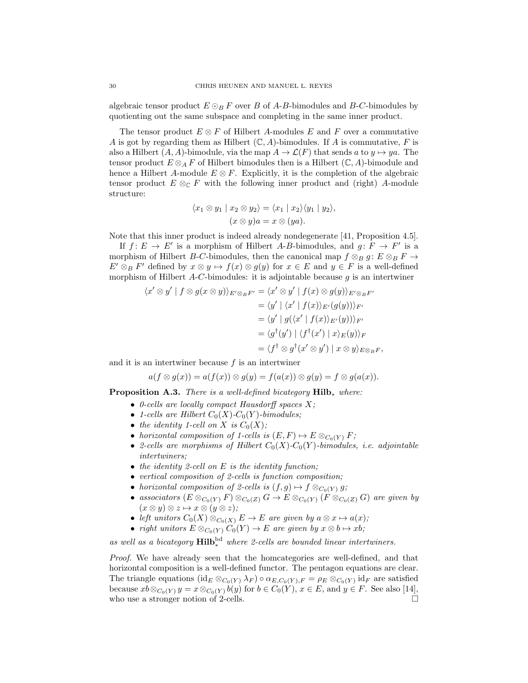algebraic tensor product  $E \odot_B F$  over B of A-B-bimodules and B-C-bimodules by quotienting out the same subspace and completing in the same inner product.

The tensor product  $E \otimes F$  of Hilbert A-modules E and F over a commutative A is got by regarding them as Hilbert  $(\mathbb{C}, A)$ -bimodules. If A is commutative, F is also a Hilbert  $(A, A)$ -bimodule, via the map  $A \to \mathcal{L}(F)$  that sends a to  $y \mapsto ya$ . The tensor product  $E \otimes_A F$  of Hilbert bimodules then is a Hilbert  $(\mathbb{C}, A)$ -bimodule and hence a Hilbert A-module  $E \otimes F$ . Explicitly, it is the completion of the algebraic tensor product  $E \otimes_{\mathbb{C}} F$  with the following inner product and (right) A-module structure:

$$
\langle x_1 \otimes y_1 | x_2 \otimes y_2 \rangle = \langle x_1 | x_2 \rangle \langle y_1 | y_2 \rangle,
$$
  

$$
(x \otimes y)a = x \otimes (ya).
$$

Note that this inner product is indeed already nondegenerate [41, Proposition 4.5].

If  $f: E \to E'$  is a morphism of Hilbert A-B-bimodules, and  $g: F \to F'$  is a morphism of Hilbert B-C-bimodules, then the canonical map  $f \otimes_B g : E \otimes_B F \to$  $E' \otimes_B F'$  defined by  $x \otimes y \mapsto f(x) \otimes g(y)$  for  $x \in E$  and  $y \in F$  is a well-defined morphism of Hilbert  $A-C$ -bimodules: it is adjointable because  $q$  is an intertwiner

$$
\langle x' \otimes y' | f \otimes g(x \otimes y) \rangle_{E' \otimes_B F'} = \langle x' \otimes y' | f(x) \otimes g(y) \rangle_{E' \otimes_B F'}
$$
  

$$
= \langle y' | \langle x' | f(x) \rangle_{E'} (g(y)) \rangle_{F'}
$$
  

$$
= \langle y' | g(\langle x' | f(x) \rangle_{E'} (y)) \rangle_{F'}
$$
  

$$
= \langle g^{\dagger}(y') | \langle f^{\dagger}(x') | x \rangle_E (y) \rangle_F
$$
  

$$
= \langle f^{\dagger} \otimes g^{\dagger}(x' \otimes y') | x \otimes y \rangle_{E \otimes_B F},
$$

and it is an intertwiner because  $f$  is an intertwiner

$$
a(f \otimes g(x)) = a(f(x)) \otimes g(y) = f(a(x)) \otimes g(y) = f \otimes g(a(x)).
$$

**Proposition A.3.** There is a well-defined bicategory  $\text{Hilb}_*$  where:

- 0-cells are locally compact Hausdorff spaces  $X$ ;
- 1-cells are Hilbert  $C_0(X)$ - $C_0(Y)$ -bimodules;
- the identity 1-cell on X is  $C_0(X)$ ;
- horizontal composition of 1-cells is  $(E, F) \mapsto E \otimes_{C_0(Y)} F;$
- 2-cells are morphisms of Hilbert  $C_0(X)$ - $C_0(Y)$ -bimodules, i.e. adjointable intertwiners;
- the identity 2-cell on  $E$  is the identity function;
- vertical composition of 2-cells is function composition;
- horizontal composition of 2-cells is  $(f, g) \mapsto f \otimes_{C_0(Y)} g;$
- associators  $(E \otimes_{C_0(Y)} F) \otimes_{C_0(Z)} G \to E \otimes_{C_0(Y)} (\overline{F} \otimes_{C_0(Z)} G)$  are given by  $(x \otimes y) \otimes z \mapsto x \otimes (y \otimes z);$
- left unitors  $C_0(X) \otimes_{C_0(X)} E \to E$  are given by  $a \otimes x \mapsto a(x);$
- right unitors  $E \otimes_{C_0(Y)} C_0(Y) \to E$  are given by  $x \otimes b \mapsto xb$ ;

as well as a bicategory  $\text{Hilb}_*^{\text{bd}}$  where 2-cells are bounded linear intertwiners.

Proof. We have already seen that the homcategories are well-defined, and that horizontal composition is a well-defined functor. The pentagon equations are clear. The triangle equations  $(\text{id}_E \otimes_{C_0(Y)} \lambda_F) \circ \alpha_{E,C_0(Y),F} = \rho_E \otimes_{C_0(Y)} \text{id}_F$  are satisfied because  $xb \otimes_{C_0(Y)} y = x \otimes_{C_0(Y)} b(y)$  for  $b \in C_0(Y)$ ,  $x \in E$ , and  $y \in F$ . See also [14], who use a stronger notion of 2-cells.  $\Box$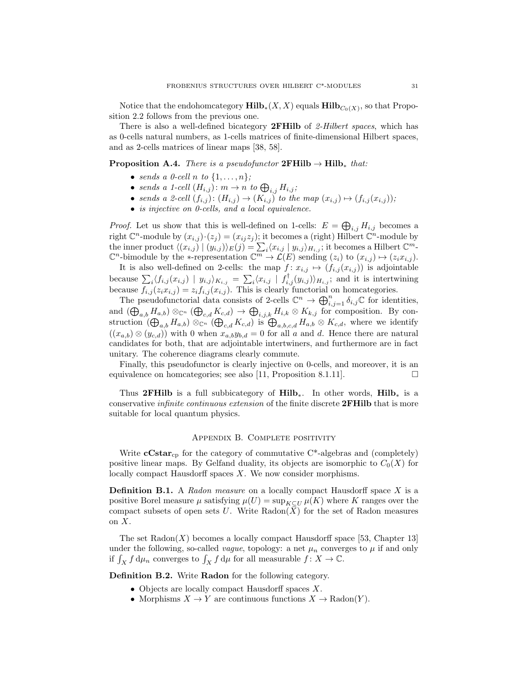Notice that the endohomcategory  $\mathbf{Hilb}_*(X,X)$  equals  $\mathbf{Hilb}_{C_0(X)}$ , so that Proposition 2.2 follows from the previous one.

There is also a well-defined bicategory **2FHilb** of 2-Hilbert spaces, which has as 0-cells natural numbers, as 1-cells matrices of finite-dimensional Hilbert spaces, and as 2-cells matrices of linear maps [38, 58].

# **Proposition A.4.** There is a pseudofunctor  $2FHilb \rightarrow Hilb*$  that:

- sends a 0-cell n to  $\{1,\ldots,n\}$ ;
- sends a 1-cell  $(H_{i,j})$ :  $m \to n$  to  $\bigoplus_{i,j} H_{i,j}$ ;
- sends a 2-cell  $(f_{i,j})$ :  $(H_{i,j}) \rightarrow (K_{i,j})$  to the map  $(x_{i,j}) \mapsto (f_{i,j}(x_{i,j}))$ ;
- is injective on 0-cells, and a local equivalence.

*Proof.* Let us show that this is well-defined on 1-cells:  $E = \bigoplus_{i,j} H_{i,j}$  becomes a right  $\mathbb{C}^n$ -module by  $(x_{i,j})\cdot (z_j) = (x_{ij}z_j)$ ; it becomes a (right) Hilbert  $\mathbb{C}^n$ -module by the inner product  $\langle (x_{i,j}) | (y_{i,j}) \rangle_E(j) = \sum_i \langle x_{i,j} | y_{i,j} \rangle_{H_{i,j}}$ ; it becomes a Hilbert  $\mathbb{C}^m$ - $\mathbb{C}^n$ -bimodule by the ∗-representation  $\mathbb{C}^m \to \mathcal{L}(E)$  sending  $(z_i)$  to  $(x_{i,j}) \mapsto (z_i x_{i,j}).$ 

It is also well-defined on 2-cells: the map  $f: x_{i,j} \mapsto (f_{i,j}(x_{i,j}))$  is adjointable because  $\sum_i \langle f_{i,j}(x_{i,j}) | y_{i,j} \rangle_{K_{i,j}} = \sum_i \langle x_{i,j} | f_{i,j}^\dagger(y_{i,j}) \rangle_{H_{i,j}}$ ; and it is intertwining because  $f_{i,j}(z_i x_{i,j}) = z_i f_{i,j}(x_{i,j})$ . This is clearly functorial on homcategories.

The pseudofunctorial data consists of 2-cells  $\mathbb{C}^n \to \bigoplus_{i,j=1}^n \delta_{i,j} \mathbb{C}$  for identities, and  $(\bigoplus_{a,b} H_{a,b}) \otimes_{\mathbb{C}^n} (\bigoplus_{c,d} K_{c,d}) \to \bigoplus_{i,j,k} H_{i,k} \otimes K_{k,j}$  for composition. By construction  $(\bigoplus_{a,b} H_{a,b}) \otimes_{\mathbb{C}^n} (\bigoplus_{c,d} K_{c,d})$  is  $\bigoplus_{a,b,c,d} H_{a,b} \otimes K_{c,d}$ , where we identify  $((x_{a,b}) \otimes (y_{c,d}))$  with 0 when  $x_{a,b}y_{b,d} = 0$  for all a and d. Hence there are natural candidates for both, that are adjointable intertwiners, and furthermore are in fact unitary. The coherence diagrams clearly commute.

Finally, this pseudofunctor is clearly injective on 0-cells, and moreover, it is an equivalence on homcategories; see also [11, Proposition 8.1.11].  $\Box$ 

Thus 2FHilb is a full subbicategory of Hilb<sup>\*</sup>. In other words, Hilb<sup>\*</sup> is a conservative *infinite continuous extension* of the finite discrete **2FHilb** that is more suitable for local quantum physics.

## Appendix B. Complete positivity

Write  $cCstar_{cp}$  for the category of commutative  $C^*$ -algebras and (completely) positive linear maps. By Gelfand duality, its objects are isomorphic to  $C_0(X)$  for locally compact Hausdorff spaces X. We now consider morphisms.

**Definition B.1.** A Radon measure on a locally compact Hausdorff space  $X$  is a positive Borel measure  $\mu$  satisfying  $\mu(U) = \sup_{K \subset U} \mu(K)$  where K ranges over the compact subsets of open sets U. Write Radon( $\overline{X}$ ) for the set of Radon measures on X.

The set  $\text{Radon}(X)$  becomes a locally compact Hausdorff space [53, Chapter 13] under the following, so-called *vague*, topology: a net  $\mu_n$  converges to  $\mu$  if and only if  $\int_X f d\mu_n$  converges to  $\int_X f d\mu$  for all measurable  $f: X \to \mathbb{C}$ .

Definition B.2. Write Radon for the following category.

- Objects are locally compact Hausdorff spaces X.
- Morphisms  $X \to Y$  are continuous functions  $X \to \mathrm{Radon}(Y)$ .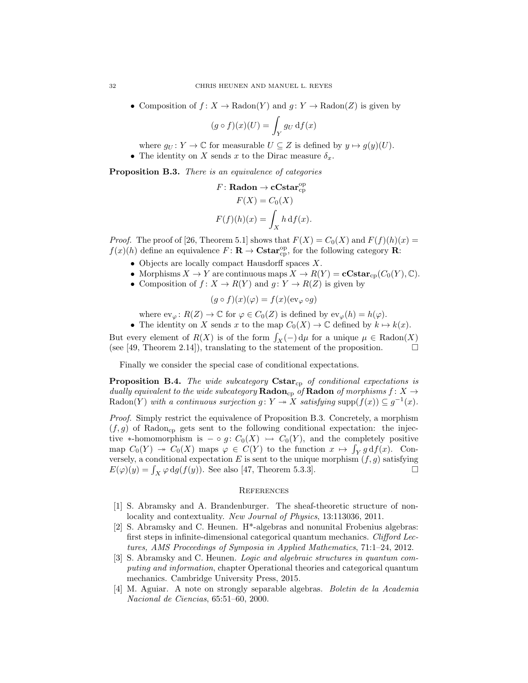• Composition of  $f: X \to \text{Radon}(Y)$  and  $g: Y \to \text{Radon}(Z)$  is given by

$$
(g \circ f)(x)(U) = \int_Y g_U \, df(x)
$$

where  $g_U : Y \to \mathbb{C}$  for measurable  $U \subseteq Z$  is defined by  $y \mapsto g(y)(U)$ .

• The identity on X sends x to the Dirac measure  $\delta_x$ .

Proposition B.3. There is an equivalence of categories

$$
F: \text{Radon} \to \text{cCstar}^{\text{op}}_{\text{cp}} F(X) = C_0(X) F(f)(h)(x) = \int_X h \, df(x).
$$

*Proof.* The proof of [26, Theorem 5.1] shows that  $F(X) = C_0(X)$  and  $F(f)(h)(x) =$  $f(x)(h)$  define an equivalence  $F: \mathbf{R} \to \mathbf{Cstar}_{\text{cp}}^{\text{op}},$  for the following category  $\mathbf{R}$ :

- Objects are locally compact Hausdorff spaces  $X$ .
- Morphisms  $X \to Y$  are continuous maps  $X \to R(Y) = cCstar_{cp}(C_0(Y), \mathbb{C}).$
- Composition of  $f: X \to R(Y)$  and  $g: Y \to R(Z)$  is given by

$$
(g \circ f)(x)(\varphi) = f(x)(\mathrm{ev}_{\varphi} \circ g)
$$

where  $ev_{\varphi} \colon R(Z) \to \mathbb{C}$  for  $\varphi \in C_0(Z)$  is defined by  $ev_{\varphi}(h) = h(\varphi)$ .

• The identity on X sends x to the map  $C_0(X) \to \mathbb{C}$  defined by  $k \mapsto k(x)$ . But every element of  $R(X)$  is of the form  $\int_X(-)\,d\mu$  for a unique  $\mu \in \text{Radon}(X)$ 

(see [49, Theorem 2.14]), translating to the statement of the proposition.  $\Box$ 

Finally we consider the special case of conditional expectations.

**Proposition B.4.** The wide subcategory  $Cstar_{cp}$  of conditional expectations is dually equivalent to the wide subcategory  $\mathbf{Radon}_{\text{cp}}$  of  $\mathbf{Radon}$  of morphisms  $f \colon X \to Y$ Radon(Y) with a continuous surjection  $g: Y \to X$  satisfying supp $(f(x)) \subseteq g^{-1}(x)$ .

Proof. Simply restrict the equivalence of Proposition B.3. Concretely, a morphism  $(f, g)$  of Radon<sub>cp</sub> gets sent to the following conditional expectation: the injective ∗-homomorphism is  $-\circ q: C_0(X) \rightarrow C_0(Y)$ , and the completely positive map  $C_0(Y) \to C_0(X)$  maps  $\varphi \in C(Y)$  to the function  $x \mapsto \int_Y g df(x)$ . Conversely, a conditional expectation E is sent to the unique morphism  $(f, g)$  satisfying  $E(\varphi)(y) = \int_X \varphi \, dg(f(y))$ . See also [47, Theorem 5.3.3].

#### **REFERENCES**

- [1] S. Abramsky and A. Brandenburger. The sheaf-theoretic structure of nonlocality and contextuality. New Journal of Physics, 13:113036, 2011.
- [2] S. Abramsky and C. Heunen. H\*-algebras and nonunital Frobenius algebras: first steps in infinite-dimensional categorical quantum mechanics. Clifford Lectures, AMS Proceedings of Symposia in Applied Mathematics, 71:1–24, 2012.
- [3] S. Abramsky and C. Heunen. Logic and algebraic structures in quantum computing and information, chapter Operational theories and categorical quantum mechanics. Cambridge University Press, 2015.
- [4] M. Aguiar. A note on strongly separable algebras. Boletin de la Academia Nacional de Ciencias, 65:51–60, 2000.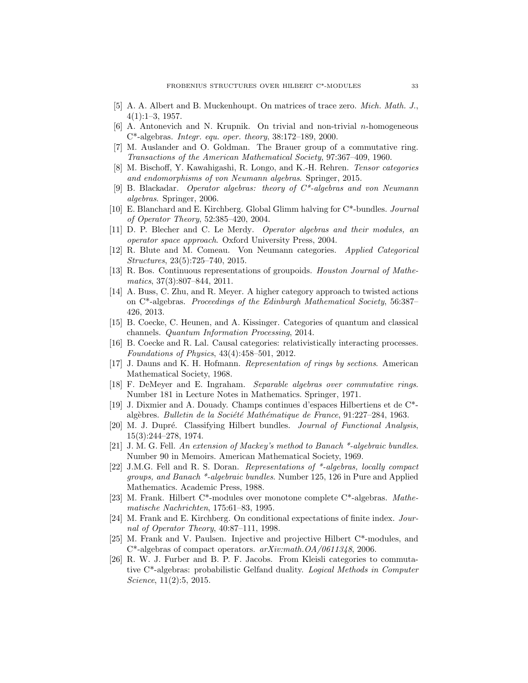- [5] A. A. Albert and B. Muckenhoupt. On matrices of trace zero. Mich. Math. J.,  $4(1):1-3, 1957.$
- $[6]$  A. Antonevich and N. Krupnik. On trivial and non-trivial *n*-homogeneous C\*-algebras. Integr. equ. oper. theory, 38:172–189, 2000.
- [7] M. Auslander and O. Goldman. The Brauer group of a commutative ring. Transactions of the American Mathematical Society, 97:367–409, 1960.
- [8] M. Bischoff, Y. Kawahigashi, R. Longo, and K.-H. Rehren. Tensor categories and endomorphisms of von Neumann algebras. Springer, 2015.
- [9] B. Blackadar. Operator algebras: theory of  $C^*$ -algebras and von Neumann algebras. Springer, 2006.
- [10] E. Blanchard and E. Kirchberg. Global Glimm halving for C\*-bundles. Journal of Operator Theory, 52:385–420, 2004.
- [11] D. P. Blecher and C. Le Merdy. Operator algebras and their modules, an operator space approach. Oxford University Press, 2004.
- [12] R. Blute and M. Comeau. Von Neumann categories. Applied Categorical Structures, 23(5):725–740, 2015.
- [13] R. Bos. Continuous representations of groupoids. Houston Journal of Mathematics, 37(3):807–844, 2011.
- [14] A. Buss, C. Zhu, and R. Meyer. A higher category approach to twisted actions on C\*-algebras. Proceedings of the Edinburgh Mathematical Society, 56:387– 426, 2013.
- [15] B. Coecke, C. Heunen, and A. Kissinger. Categories of quantum and classical channels. Quantum Information Processing, 2014.
- [16] B. Coecke and R. Lal. Causal categories: relativistically interacting processes. Foundations of Physics, 43(4):458–501, 2012.
- [17] J. Dauns and K. H. Hofmann. Representation of rings by sections. American Mathematical Society, 1968.
- [18] F. DeMeyer and E. Ingraham. Separable algebras over commutative rings. Number 181 in Lecture Notes in Mathematics. Springer, 1971.
- [19] J. Dixmier and A. Douady. Champs continues d'espaces Hilbertiens et de C\* algèbres. Bulletin de la Société Mathématique de France, 91:227–284, 1963.
- [20] M. J. Dupré. Classifying Hilbert bundles. *Journal of Functional Analysis*, 15(3):244–278, 1974.
- [21] J. M. G. Fell. An extension of Mackey's method to Banach \*-algebraic bundles. Number 90 in Memoirs. American Mathematical Society, 1969.
- [22] J.M.G. Fell and R. S. Doran. Representations of \*-algebras, locally compact groups, and Banach \*-algebraic bundles. Number 125, 126 in Pure and Applied Mathematics. Academic Press, 1988.
- [23] M. Frank. Hilbert C\*-modules over monotone complete C\*-algebras. Mathematische Nachrichten, 175:61–83, 1995.
- [24] M. Frank and E. Kirchberg. On conditional expectations of finite index. Journal of Operator Theory, 40:87–111, 1998.
- [25] M. Frank and V. Paulsen. Injective and projective Hilbert C\*-modules, and  $C^*$ -algebras of compact operators.  $arXiv.math.OA/0611348, 2006$ .
- [26] R. W. J. Furber and B. P. F. Jacobs. From Kleisli categories to commutative C\*-algebras: probabilistic Gelfand duality. Logical Methods in Computer Science, 11(2):5, 2015.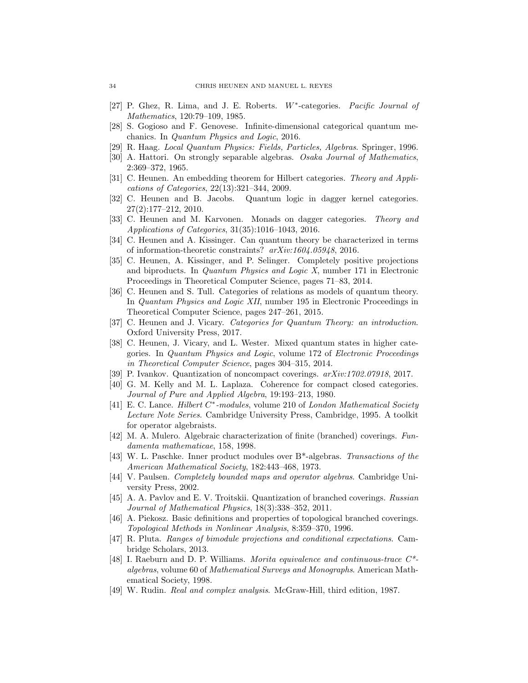- [27] P. Ghez, R. Lima, and J. E. Roberts. W<sup>\*</sup>-categories. Pacific Journal of Mathematics, 120:79–109, 1985.
- [28] S. Gogioso and F. Genovese. Infinite-dimensional categorical quantum mechanics. In Quantum Physics and Logic, 2016.
- [29] R. Haag. Local Quantum Physics: Fields, Particles, Algebras. Springer, 1996.
- [30] A. Hattori. On strongly separable algebras. Osaka Journal of Mathematics, 2:369–372, 1965.
- [31] C. Heunen. An embedding theorem for Hilbert categories. Theory and Applications of Categories, 22(13):321–344, 2009.
- [32] C. Heunen and B. Jacobs. Quantum logic in dagger kernel categories. 27(2):177–212, 2010.
- [33] C. Heunen and M. Karvonen. Monads on dagger categories. Theory and Applications of Categories, 31(35):1016–1043, 2016.
- [34] C. Heunen and A. Kissinger. Can quantum theory be characterized in terms of information-theoretic constraints? arXiv:1604.05948, 2016.
- [35] C. Heunen, A. Kissinger, and P. Selinger. Completely positive projections and biproducts. In Quantum Physics and Logic X, number 171 in Electronic Proceedings in Theoretical Computer Science, pages 71–83, 2014.
- [36] C. Heunen and S. Tull. Categories of relations as models of quantum theory. In Quantum Physics and Logic XII, number 195 in Electronic Proceedings in Theoretical Computer Science, pages 247–261, 2015.
- [37] C. Heunen and J. Vicary. Categories for Quantum Theory: an introduction. Oxford University Press, 2017.
- [38] C. Heunen, J. Vicary, and L. Wester. Mixed quantum states in higher categories. In Quantum Physics and Logic, volume 172 of Electronic Proceedings in Theoretical Computer Science, pages 304–315, 2014.
- [39] P. Ivankov. Quantization of noncompact coverings. arXiv:1702.07918, 2017.
- [40] G. M. Kelly and M. L. Laplaza. Coherence for compact closed categories. Journal of Pure and Applied Algebra, 19:193–213, 1980.
- [41] E. C. Lance. Hilbert C<sup>\*</sup>-modules, volume 210 of London Mathematical Society Lecture Note Series. Cambridge University Press, Cambridge, 1995. A toolkit for operator algebraists.
- [42] M. A. Mulero. Algebraic characterization of finite (branched) coverings. Fundamenta mathematicae, 158, 1998.
- [43] W. L. Paschke. Inner product modules over B\*-algebras. Transactions of the American Mathematical Society, 182:443–468, 1973.
- [44] V. Paulsen. Completely bounded maps and operator algebras. Cambridge University Press, 2002.
- [45] A. A. Pavlov and E. V. Troitskii. Quantization of branched coverings. Russian Journal of Mathematical Physics, 18(3):338–352, 2011.
- [46] A. Piekosz. Basic definitions and properties of topological branched coverings. Topological Methods in Nonlinear Analysis, 8:359–370, 1996.
- [47] R. Pluta. Ranges of bimodule projections and conditional expectations. Cambridge Scholars, 2013.
- [48] I. Raeburn and D. P. Williams. Morita equivalence and continuous-trace C\* algebras, volume 60 of Mathematical Surveys and Monographs. American Mathematical Society, 1998.
- [49] W. Rudin. Real and complex analysis. McGraw-Hill, third edition, 1987.